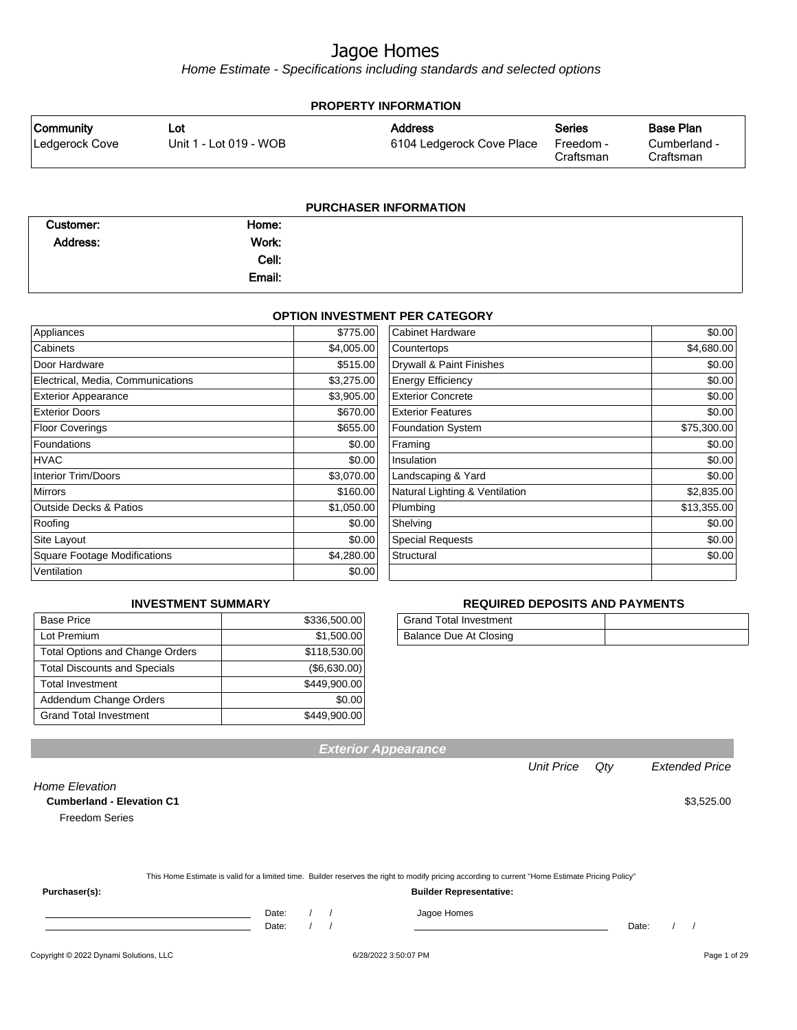Home Estimate - Specifications including standards and selected options

| <b>PROPERTY INFORMATION</b>        |                               |                                             |                                         |                                        |  |  |  |
|------------------------------------|-------------------------------|---------------------------------------------|-----------------------------------------|----------------------------------------|--|--|--|
| <b>Community</b><br>Ledgerock Cove | Lot<br>Unit 1 - Lot 019 - WOB | <b>Address</b><br>6104 Ledgerock Cove Place | <b>Series</b><br>Freedom -<br>Craftsman | Base Plan<br>Cumberland -<br>Craftsman |  |  |  |
|                                    |                               |                                             |                                         |                                        |  |  |  |

| <b>PURCHASER INFORMATION</b> |        |  |  |  |  |
|------------------------------|--------|--|--|--|--|
| Customer:                    | Home:  |  |  |  |  |
| Address:                     | Work:  |  |  |  |  |
|                              | Cell:  |  |  |  |  |
|                              | Email: |  |  |  |  |

#### **OPTION INVESTMENT PER CATEGORY**

| Appliances                          | \$775.00   | <b>Cabinet Hardware</b>        | \$0.00      |
|-------------------------------------|------------|--------------------------------|-------------|
| Cabinets                            | \$4,005.00 | Countertops                    | \$4,680.00  |
| Door Hardware                       | \$515.00   | Drywall & Paint Finishes       | \$0.00      |
| Electrical, Media, Communications   | \$3,275.00 | <b>Energy Efficiency</b>       | \$0.00      |
| <b>Exterior Appearance</b>          | \$3,905.00 | <b>Exterior Concrete</b>       | \$0.00      |
| <b>Exterior Doors</b>               | \$670.00   | <b>Exterior Features</b>       | \$0.00      |
| <b>Floor Coverings</b>              | \$655.00   | <b>Foundation System</b>       | \$75,300.00 |
| Foundations                         | \$0.00     | Framing                        | \$0.00      |
| HVAC                                | \$0.00     | Insulation                     | \$0.00      |
| <b>Interior Trim/Doors</b>          | \$3,070.00 | Landscaping & Yard             | \$0.00      |
| <b>Mirrors</b>                      | \$160.00   | Natural Lighting & Ventilation | \$2,835.00  |
| <b>Outside Decks &amp; Patios</b>   | \$1,050.00 | Plumbing                       | \$13,355.00 |
| Roofing                             | \$0.00     | Shelving                       | \$0.00      |
| Site Layout                         | \$0.00     | <b>Special Requests</b>        | \$0.00      |
| <b>Square Footage Modifications</b> | \$4,280.00 | Structural                     | \$0.00      |
| Ventilation                         | \$0.00     |                                |             |

#### **INVESTMENT SUMMARY**

| <b>Base Price</b>                      | \$336,500.00 |
|----------------------------------------|--------------|
| Lot Premium                            | \$1,500.00   |
| <b>Total Options and Change Orders</b> | \$118,530.00 |
| <b>Total Discounts and Specials</b>    | (\$6,630.00) |
| <b>Total Investment</b>                | \$449,900.00 |
| Addendum Change Orders                 | \$0.00       |
| <b>Grand Total Investment</b>          | \$449,900.00 |

#### **REQUIRED DEPOSITS AND PAYMENTS**

| <b>Grand Total Investment</b> |  |
|-------------------------------|--|
| Balance Due At Closing        |  |

Unit Price Qty Extended Price

| Home Elevation                   |       |  |                                                                                                                                                  |       |            |
|----------------------------------|-------|--|--------------------------------------------------------------------------------------------------------------------------------------------------|-------|------------|
| <b>Cumberland - Elevation C1</b> |       |  |                                                                                                                                                  |       | \$3,525.00 |
| <b>Freedom Series</b>            |       |  |                                                                                                                                                  |       |            |
|                                  |       |  |                                                                                                                                                  |       |            |
|                                  |       |  |                                                                                                                                                  |       |            |
|                                  |       |  |                                                                                                                                                  |       |            |
|                                  |       |  | This Home Estimate is valid for a limited time. Builder reserves the right to modify pricing according to current "Home Estimate Pricing Policy" |       |            |
| Purchaser(s):                    |       |  | <b>Builder Representative:</b>                                                                                                                   |       |            |
|                                  | Date: |  | Jagoe Homes                                                                                                                                      |       |            |
|                                  | Date: |  |                                                                                                                                                  | Date: |            |

**Exterior Appearance**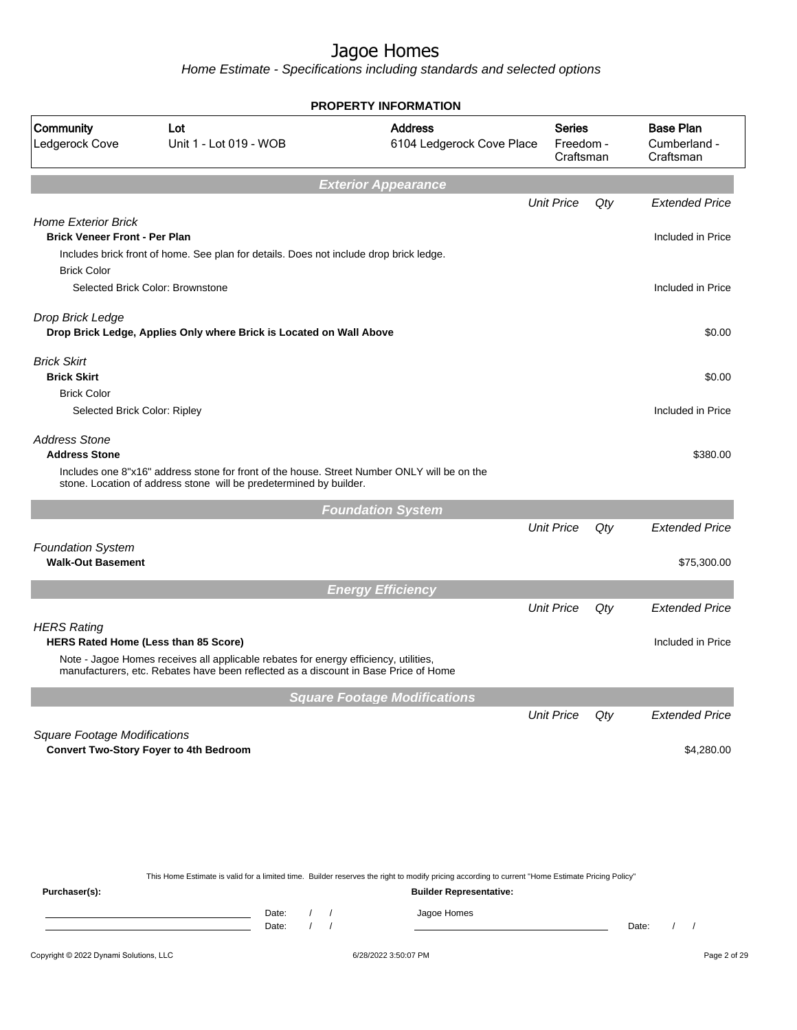Home Estimate - Specifications including standards and selected options

|                                                                                          |                                                                                                                                                                                                                     | <b>PROPERTY INFORMATION</b>                                                                                                                      |                                         |        |                                               |
|------------------------------------------------------------------------------------------|---------------------------------------------------------------------------------------------------------------------------------------------------------------------------------------------------------------------|--------------------------------------------------------------------------------------------------------------------------------------------------|-----------------------------------------|--------|-----------------------------------------------|
| Community<br>Ledgerock Cove                                                              | Lot<br>Unit 1 - Lot 019 - WOB                                                                                                                                                                                       | <b>Address</b><br>6104 Ledgerock Cove Place                                                                                                      | <b>Series</b><br>Freedom -<br>Craftsman |        | <b>Base Plan</b><br>Cumberland -<br>Craftsman |
|                                                                                          |                                                                                                                                                                                                                     | <b>Exterior Appearance</b>                                                                                                                       |                                         |        |                                               |
|                                                                                          |                                                                                                                                                                                                                     |                                                                                                                                                  | <b>Unit Price</b>                       | Qty    | <b>Extended Price</b>                         |
| <b>Home Exterior Brick</b><br><b>Brick Veneer Front - Per Plan</b><br><b>Brick Color</b> | Includes brick front of home. See plan for details. Does not include drop brick ledge.                                                                                                                              |                                                                                                                                                  |                                         |        | Included in Price                             |
|                                                                                          | Selected Brick Color: Brownstone                                                                                                                                                                                    |                                                                                                                                                  |                                         |        | Included in Price                             |
| Drop Brick Ledge                                                                         | Drop Brick Ledge, Applies Only where Brick is Located on Wall Above                                                                                                                                                 |                                                                                                                                                  |                                         |        | \$0.00                                        |
| <b>Brick Skirt</b><br><b>Brick Skirt</b>                                                 |                                                                                                                                                                                                                     |                                                                                                                                                  |                                         |        | \$0.00                                        |
| <b>Brick Color</b><br>Selected Brick Color: Ripley                                       |                                                                                                                                                                                                                     |                                                                                                                                                  |                                         |        | Included in Price                             |
| <b>Address Stone</b><br><b>Address Stone</b>                                             | Includes one 8"x16" address stone for front of the house. Street Number ONLY will be on the<br>stone. Location of address stone will be predetermined by builder.                                                   |                                                                                                                                                  |                                         |        | \$380.00                                      |
|                                                                                          |                                                                                                                                                                                                                     |                                                                                                                                                  |                                         |        |                                               |
|                                                                                          |                                                                                                                                                                                                                     | <b>Foundation System</b>                                                                                                                         | <b>Unit Price</b>                       | $Q$ ty | <b>Extended Price</b>                         |
| <b>Foundation System</b><br><b>Walk-Out Basement</b>                                     |                                                                                                                                                                                                                     |                                                                                                                                                  |                                         |        | \$75,300.00                                   |
|                                                                                          |                                                                                                                                                                                                                     |                                                                                                                                                  |                                         |        |                                               |
|                                                                                          |                                                                                                                                                                                                                     | <b>Energy Efficiency</b>                                                                                                                         | <b>Unit Price</b>                       |        | <b>Extended Price</b>                         |
| <b>HERS Rating</b>                                                                       |                                                                                                                                                                                                                     |                                                                                                                                                  |                                         | Qty    |                                               |
|                                                                                          | HERS Rated Home (Less than 85 Score)<br>Note - Jagoe Homes receives all applicable rebates for energy efficiency, utilities,<br>manufacturers, etc. Rebates have been reflected as a discount in Base Price of Home |                                                                                                                                                  |                                         |        | Included in Price                             |
|                                                                                          |                                                                                                                                                                                                                     | <b>Square Footage Modifications</b>                                                                                                              |                                         |        |                                               |
|                                                                                          |                                                                                                                                                                                                                     |                                                                                                                                                  | <b>Unit Price</b>                       | Qty    | <b>Extended Price</b>                         |
| <b>Square Footage Modifications</b>                                                      | <b>Convert Two-Story Foyer to 4th Bedroom</b>                                                                                                                                                                       |                                                                                                                                                  |                                         |        | \$4,280.00                                    |
|                                                                                          |                                                                                                                                                                                                                     |                                                                                                                                                  |                                         |        |                                               |
|                                                                                          |                                                                                                                                                                                                                     | This Home Estimate is valid for a limited time. Builder reserves the right to modify pricing according to current "Home Estimate Pricing Policy" |                                         |        |                                               |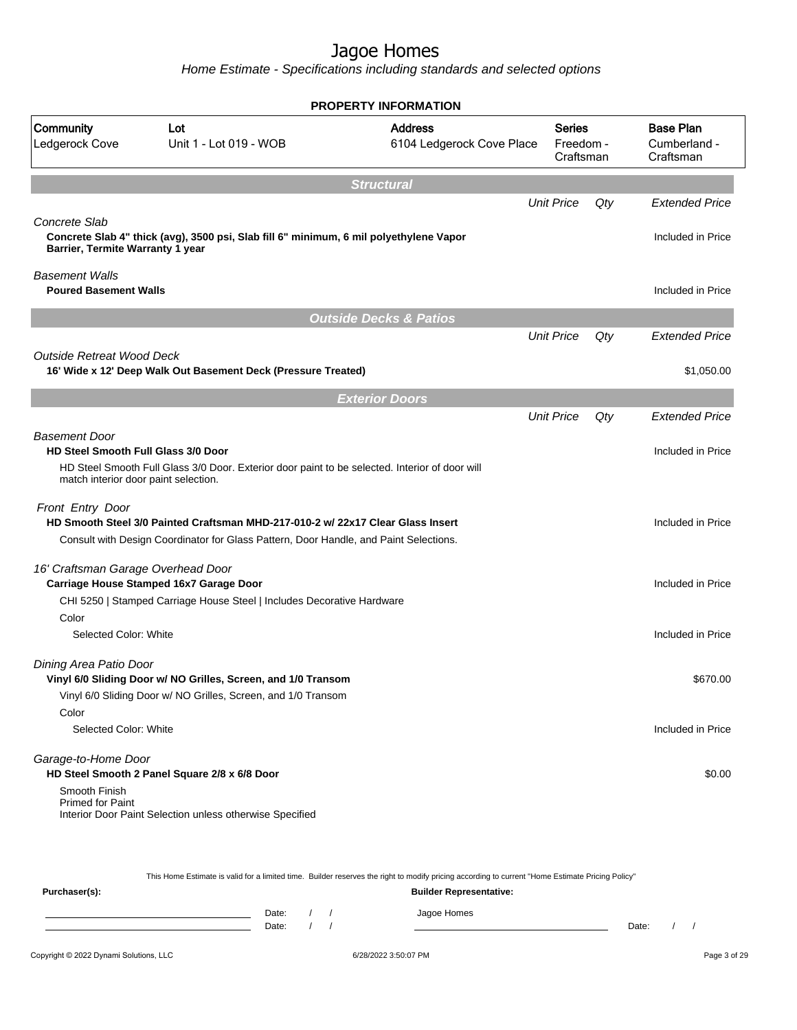|                                                                    |                                                                                                | <b>PROPERTY INFORMATION</b>                 |                                         |     |                                               |
|--------------------------------------------------------------------|------------------------------------------------------------------------------------------------|---------------------------------------------|-----------------------------------------|-----|-----------------------------------------------|
| Community<br>Ledgerock Cove                                        | Lot<br>Unit 1 - Lot 019 - WOB                                                                  | <b>Address</b><br>6104 Ledgerock Cove Place | <b>Series</b><br>Freedom -<br>Craftsman |     | <b>Base Plan</b><br>Cumberland -<br>Craftsman |
|                                                                    |                                                                                                | <b>Structural</b>                           |                                         |     |                                               |
|                                                                    |                                                                                                |                                             | <b>Unit Price</b>                       | Qty | <b>Extended Price</b>                         |
| Concrete Slab<br>Barrier, Termite Warranty 1 year                  | Concrete Slab 4" thick (avg), 3500 psi, Slab fill 6" minimum, 6 mil polyethylene Vapor         |                                             |                                         |     | Included in Price                             |
| <b>Basement Walls</b><br><b>Poured Basement Walls</b>              |                                                                                                |                                             |                                         |     | Included in Price                             |
|                                                                    |                                                                                                | <b>Outside Decks &amp; Patios</b>           |                                         |     |                                               |
|                                                                    |                                                                                                |                                             | <b>Unit Price</b>                       | Qty | <b>Extended Price</b>                         |
| <b>Outside Retreat Wood Deck</b>                                   |                                                                                                |                                             |                                         |     |                                               |
|                                                                    | 16' Wide x 12' Deep Walk Out Basement Deck (Pressure Treated)                                  |                                             |                                         |     | \$1,050.00                                    |
|                                                                    |                                                                                                | <b>Exterior Doors</b>                       |                                         |     |                                               |
|                                                                    |                                                                                                |                                             | <b>Unit Price</b>                       | Qty | <b>Extended Price</b>                         |
| <b>Basement Door</b><br><b>HD Steel Smooth Full Glass 3/0 Door</b> |                                                                                                |                                             |                                         |     | Included in Price                             |
| match interior door paint selection.                               | HD Steel Smooth Full Glass 3/0 Door. Exterior door paint to be selected. Interior of door will |                                             |                                         |     |                                               |
| Front Entry Door                                                   | HD Smooth Steel 3/0 Painted Craftsman MHD-217-010-2 w/ 22x17 Clear Glass Insert                |                                             |                                         |     | Included in Price                             |
|                                                                    | Consult with Design Coordinator for Glass Pattern, Door Handle, and Paint Selections.          |                                             |                                         |     |                                               |
| 16' Craftsman Garage Overhead Door                                 |                                                                                                |                                             |                                         |     |                                               |
|                                                                    | Carriage House Stamped 16x7 Garage Door                                                        |                                             |                                         |     | Included in Price                             |
|                                                                    | CHI 5250   Stamped Carriage House Steel   Includes Decorative Hardware                         |                                             |                                         |     |                                               |
| Color<br>Selected Color: White                                     |                                                                                                |                                             |                                         |     | Included in Price                             |
| Dining Area Patio Door                                             |                                                                                                |                                             |                                         |     |                                               |
|                                                                    | Vinyl 6/0 Sliding Door w/ NO Grilles, Screen, and 1/0 Transom                                  |                                             |                                         |     | \$670.00                                      |
|                                                                    | Vinyl 6/0 Sliding Door w/ NO Grilles, Screen, and 1/0 Transom                                  |                                             |                                         |     |                                               |
| Color                                                              |                                                                                                |                                             |                                         |     |                                               |
| Selected Color: White                                              |                                                                                                |                                             |                                         |     | Included in Price                             |
| Garage-to-Home Door                                                | HD Steel Smooth 2 Panel Square 2/8 x 6/8 Door                                                  |                                             |                                         |     | \$0.00                                        |
| Smooth Finish<br><b>Primed for Paint</b>                           | Interior Door Paint Selection unless otherwise Specified                                       |                                             |                                         |     |                                               |

|               | This Home Estimate is valid for a limited time. Builder reserves the right to modify pricing according to current "Home Estimate Pricing Policy" |                                |  |  |             |       |  |  |
|---------------|--------------------------------------------------------------------------------------------------------------------------------------------------|--------------------------------|--|--|-------------|-------|--|--|
| Purchaser(s): |                                                                                                                                                  | <b>Builder Representative:</b> |  |  |             |       |  |  |
|               |                                                                                                                                                  | Date:                          |  |  | Jagoe Homes |       |  |  |
|               |                                                                                                                                                  | Date:                          |  |  |             | Date: |  |  |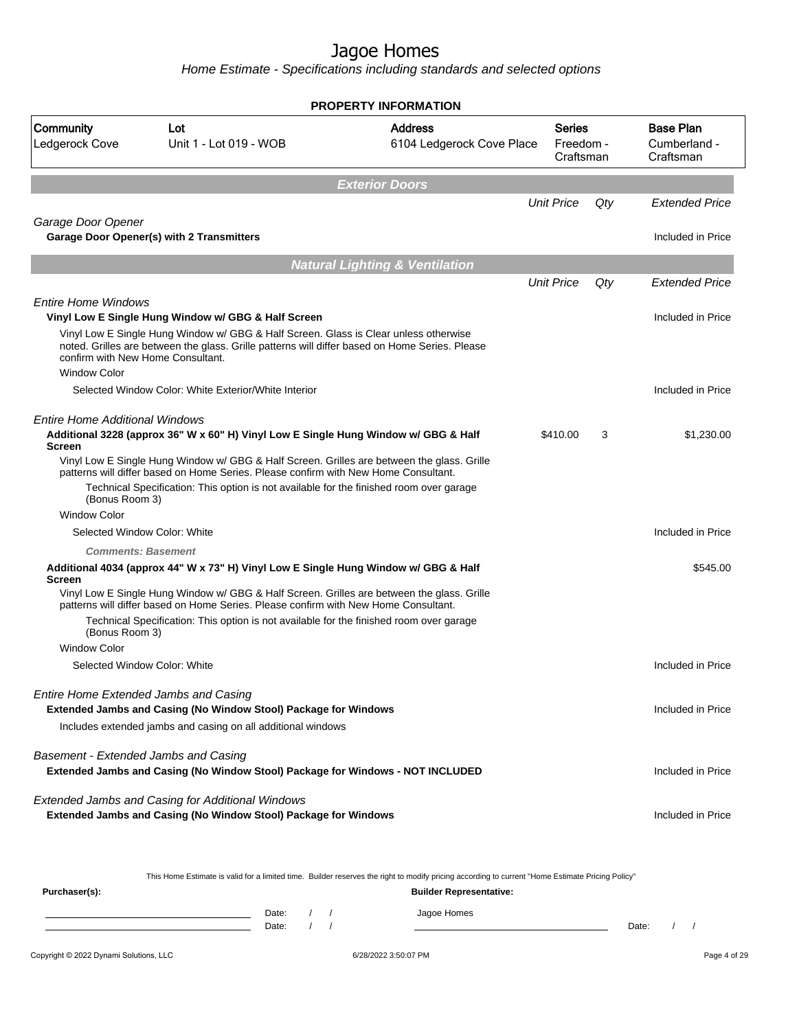Home Estimate - Specifications including standards and selected options

|                                                          |                                                                                                                                                                                                                                                                              | <b>PROPERTY INFORMATION</b>                 |                                         |     |                                               |
|----------------------------------------------------------|------------------------------------------------------------------------------------------------------------------------------------------------------------------------------------------------------------------------------------------------------------------------------|---------------------------------------------|-----------------------------------------|-----|-----------------------------------------------|
| Community<br>Ledgerock Cove                              | Lot<br>Unit 1 - Lot 019 - WOB                                                                                                                                                                                                                                                | <b>Address</b><br>6104 Ledgerock Cove Place | <b>Series</b><br>Freedom -<br>Craftsman |     | <b>Base Plan</b><br>Cumberland -<br>Craftsman |
|                                                          |                                                                                                                                                                                                                                                                              | <b>Exterior Doors</b>                       |                                         |     |                                               |
|                                                          |                                                                                                                                                                                                                                                                              |                                             | <b>Unit Price</b>                       | Qty | <b>Extended Price</b>                         |
| Garage Door Opener                                       | <b>Garage Door Opener(s) with 2 Transmitters</b>                                                                                                                                                                                                                             |                                             |                                         |     | Included in Price                             |
|                                                          |                                                                                                                                                                                                                                                                              | <b>Natural Lighting &amp; Ventilation</b>   |                                         |     |                                               |
|                                                          |                                                                                                                                                                                                                                                                              |                                             | <b>Unit Price</b>                       | Qty | Extended Price                                |
| <b>Entire Home Windows</b>                               | Vinyl Low E Single Hung Window w/ GBG & Half Screen                                                                                                                                                                                                                          |                                             |                                         |     | Included in Price                             |
| confirm with New Home Consultant.<br><b>Window Color</b> | Vinyl Low E Single Hung Window w/ GBG & Half Screen. Glass is Clear unless otherwise<br>noted. Grilles are between the glass. Grille patterns will differ based on Home Series. Please                                                                                       |                                             |                                         |     |                                               |
|                                                          | Selected Window Color: White Exterior/White Interior                                                                                                                                                                                                                         |                                             |                                         |     | Included in Price                             |
| Entire Home Additional Windows<br><b>Screen</b>          | Additional 3228 (approx 36" W x 60" H) Vinyl Low E Single Hung Window w/ GBG & Half                                                                                                                                                                                          |                                             | \$410.00                                | 3   | \$1,230.00                                    |
| (Bonus Room 3)                                           | Vinyl Low E Single Hung Window w/ GBG & Half Screen. Grilles are between the glass. Grille<br>patterns will differ based on Home Series. Please confirm with New Home Consultant.<br>Technical Specification: This option is not available for the finished room over garage |                                             |                                         |     |                                               |
| <b>Window Color</b>                                      |                                                                                                                                                                                                                                                                              |                                             |                                         |     |                                               |
|                                                          | Selected Window Color: White                                                                                                                                                                                                                                                 |                                             |                                         |     | Included in Price                             |
| <b>Comments: Basement</b>                                |                                                                                                                                                                                                                                                                              |                                             |                                         |     |                                               |
| <b>Screen</b>                                            | Additional 4034 (approx 44" W x 73" H) Vinyl Low E Single Hung Window w/ GBG & Half                                                                                                                                                                                          |                                             |                                         |     | \$545.00                                      |
|                                                          | Vinyl Low E Single Hung Window w/ GBG & Half Screen. Grilles are between the glass. Grille<br>patterns will differ based on Home Series. Please confirm with New Home Consultant.                                                                                            |                                             |                                         |     |                                               |
| (Bonus Room 3)                                           | Technical Specification: This option is not available for the finished room over garage                                                                                                                                                                                      |                                             |                                         |     |                                               |
| <b>Window Color</b>                                      |                                                                                                                                                                                                                                                                              |                                             |                                         |     |                                               |
|                                                          | Selected Window Color: White                                                                                                                                                                                                                                                 |                                             |                                         |     | Included in Price                             |
|                                                          | Entire Home Extended Jambs and Casing<br>Extended Jambs and Casing (No Window Stool) Package for Windows                                                                                                                                                                     |                                             |                                         |     | Included in Price                             |
|                                                          | Includes extended jambs and casing on all additional windows                                                                                                                                                                                                                 |                                             |                                         |     |                                               |
| Basement - Extended Jambs and Casing                     | Extended Jambs and Casing (No Window Stool) Package for Windows - NOT INCLUDED                                                                                                                                                                                               |                                             |                                         |     | Included in Price                             |
|                                                          | Extended Jambs and Casing for Additional Windows<br>Extended Jambs and Casing (No Window Stool) Package for Windows                                                                                                                                                          |                                             |                                         |     | Included in Price                             |
|                                                          |                                                                                                                                                                                                                                                                              |                                             |                                         |     |                                               |

This Home Estimate is valid for a limited time. Builder reserves the right to modify pricing according to current "Home Estimate Pricing Policy"

| Purchaser(s): |                |  | <b>Builder Representative:</b> |       |  |
|---------------|----------------|--|--------------------------------|-------|--|
|               | Date:<br>Date: |  | Jagoe Homes                    | Date: |  |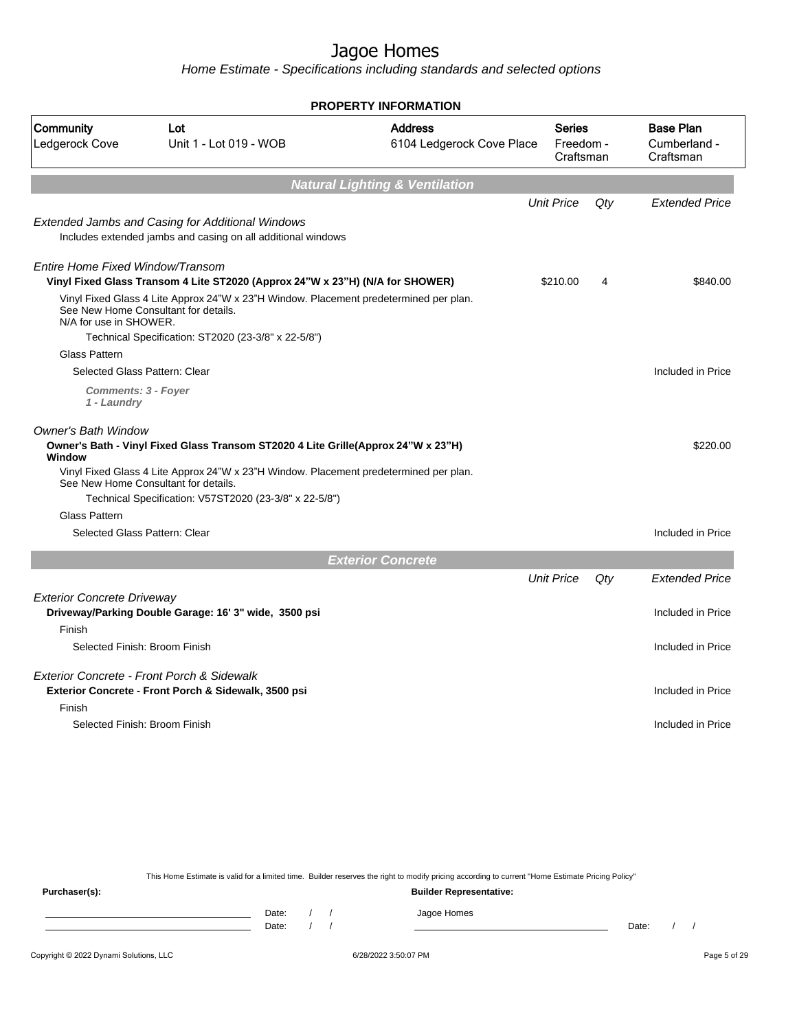Home Estimate - Specifications including standards and selected options

|                                                       |                                                                                                                               | <b>PROPERTY INFORMATION</b>                 |                                         |        |                                               |
|-------------------------------------------------------|-------------------------------------------------------------------------------------------------------------------------------|---------------------------------------------|-----------------------------------------|--------|-----------------------------------------------|
| Community<br>Ledgerock Cove                           | Lot<br>Unit 1 - Lot 019 - WOB                                                                                                 | <b>Address</b><br>6104 Ledgerock Cove Place | <b>Series</b><br>Freedom -<br>Craftsman |        | <b>Base Plan</b><br>Cumberland -<br>Craftsman |
|                                                       |                                                                                                                               | <b>Natural Lighting &amp; Ventilation</b>   |                                         |        |                                               |
|                                                       |                                                                                                                               |                                             | <b>Unit Price</b>                       | Qty    | <b>Extended Price</b>                         |
|                                                       | Extended Jambs and Casing for Additional Windows<br>Includes extended jambs and casing on all additional windows              |                                             |                                         |        |                                               |
| Entire Home Fixed Window/Transom                      | Vinyl Fixed Glass Transom 4 Lite ST2020 (Approx 24"W x 23"H) (N/A for SHOWER)                                                 |                                             | \$210.00                                | 4      | \$840.00                                      |
| N/A for use in SHOWER.                                | Vinyl Fixed Glass 4 Lite Approx 24"W x 23"H Window. Placement predetermined per plan.<br>See New Home Consultant for details. |                                             |                                         |        |                                               |
|                                                       | Technical Specification: ST2020 (23-3/8" x 22-5/8")                                                                           |                                             |                                         |        |                                               |
| <b>Glass Pattern</b><br>Selected Glass Pattern: Clear |                                                                                                                               |                                             |                                         |        | Included in Price                             |
| <b>Comments: 3 - Foyer</b><br>1 - Laundry             |                                                                                                                               |                                             |                                         |        |                                               |
| <b>Owner's Bath Window</b><br>Window                  | Owner's Bath - Vinyl Fixed Glass Transom ST2020 4 Lite Grille(Approx 24"W x 23"H)                                             |                                             |                                         |        | \$220.00                                      |
|                                                       | Vinyl Fixed Glass 4 Lite Approx 24"W x 23"H Window. Placement predetermined per plan.<br>See New Home Consultant for details. |                                             |                                         |        |                                               |
| <b>Glass Pattern</b>                                  | Technical Specification: V57ST2020 (23-3/8" x 22-5/8")                                                                        |                                             |                                         |        |                                               |
| Selected Glass Pattern: Clear                         |                                                                                                                               |                                             |                                         |        | Included in Price                             |
|                                                       |                                                                                                                               | <b>Exterior Concrete</b>                    |                                         |        |                                               |
|                                                       |                                                                                                                               |                                             | <b>Unit Price</b>                       | $Q$ ty | <b>Extended Price</b>                         |
| <b>Exterior Concrete Driveway</b>                     | Driveway/Parking Double Garage: 16' 3" wide, 3500 psi                                                                         |                                             |                                         |        | Included in Price                             |
| Finish                                                |                                                                                                                               |                                             |                                         |        |                                               |
| Selected Finish: Broom Finish                         |                                                                                                                               |                                             |                                         |        | Included in Price                             |
|                                                       | Exterior Concrete - Front Porch & Sidewalk<br>Exterior Concrete - Front Porch & Sidewalk, 3500 psi                            |                                             |                                         |        | Included in Price                             |
| Finish<br>Selected Finish: Broom Finish               |                                                                                                                               |                                             |                                         |        | Included in Price                             |

This Home Estimate is valid for a limited time. Builder reserves the right to modify pricing according to current "Home Estimate Pricing Policy"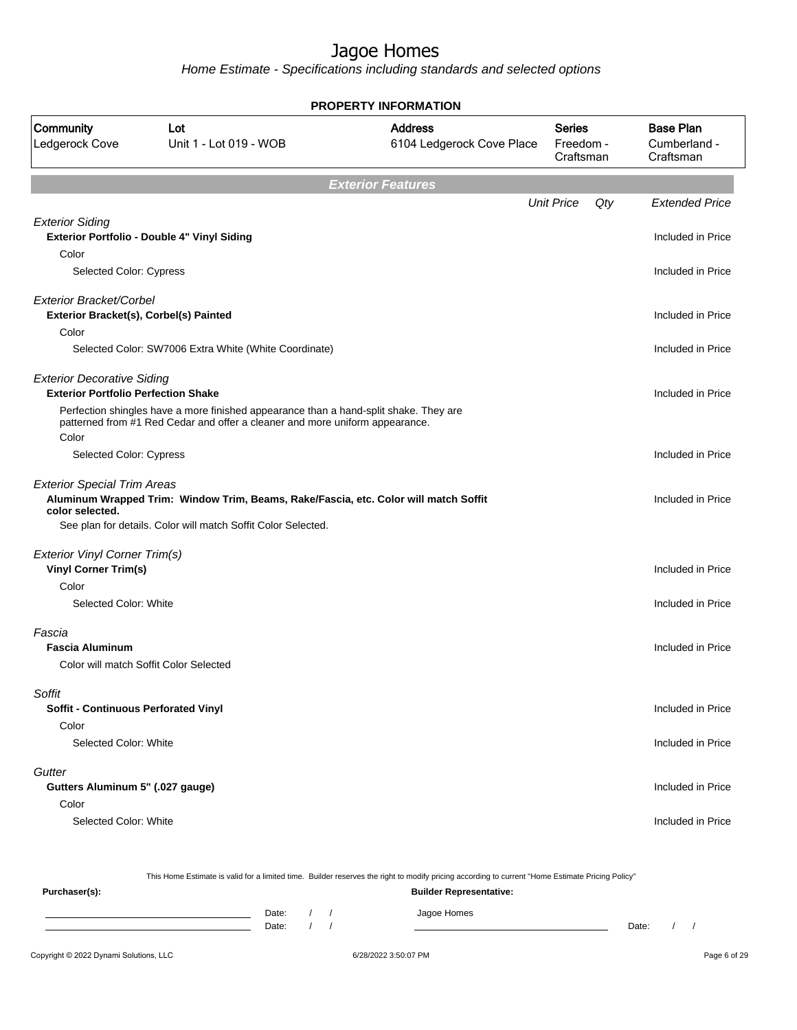Home Estimate - Specifications including standards and selected options

|                                                                                 | <b>PROPERTY INFORMATION</b>                                                                                                                                           |                                             |                                         |                                               |  |  |  |
|---------------------------------------------------------------------------------|-----------------------------------------------------------------------------------------------------------------------------------------------------------------------|---------------------------------------------|-----------------------------------------|-----------------------------------------------|--|--|--|
| Community<br>Ledgerock Cove                                                     | Lot<br>Unit 1 - Lot 019 - WOB                                                                                                                                         | <b>Address</b><br>6104 Ledgerock Cove Place | <b>Series</b><br>Freedom -<br>Craftsman | <b>Base Plan</b><br>Cumberland -<br>Craftsman |  |  |  |
|                                                                                 |                                                                                                                                                                       | <b>Exterior Features</b>                    |                                         |                                               |  |  |  |
|                                                                                 |                                                                                                                                                                       |                                             | <b>Unit Price</b><br>Qty                | <b>Extended Price</b>                         |  |  |  |
| <b>Exterior Siding</b><br>Color                                                 | Exterior Portfolio - Double 4" Vinyl Siding                                                                                                                           |                                             |                                         | Included in Price                             |  |  |  |
| Selected Color: Cypress                                                         |                                                                                                                                                                       |                                             |                                         | Included in Price                             |  |  |  |
| Exterior Bracket/Corbel<br>Exterior Bracket(s), Corbel(s) Painted               |                                                                                                                                                                       |                                             |                                         | Included in Price                             |  |  |  |
| Color                                                                           | Selected Color: SW7006 Extra White (White Coordinate)                                                                                                                 |                                             |                                         | Included in Price                             |  |  |  |
| <b>Exterior Decorative Siding</b><br><b>Exterior Portfolio Perfection Shake</b> |                                                                                                                                                                       |                                             |                                         | Included in Price                             |  |  |  |
| Color                                                                           | Perfection shingles have a more finished appearance than a hand-split shake. They are<br>patterned from #1 Red Cedar and offer a cleaner and more uniform appearance. |                                             |                                         |                                               |  |  |  |
| Selected Color: Cypress                                                         |                                                                                                                                                                       |                                             |                                         | Included in Price                             |  |  |  |
| <b>Exterior Special Trim Areas</b><br>color selected.                           | Aluminum Wrapped Trim: Window Trim, Beams, Rake/Fascia, etc. Color will match Soffit<br>See plan for details. Color will match Soffit Color Selected.                 |                                             |                                         | Included in Price                             |  |  |  |
| <b>Exterior Vinyl Corner Trim(s)</b>                                            |                                                                                                                                                                       |                                             |                                         |                                               |  |  |  |
| <b>Vinyl Corner Trim(s)</b><br>Color                                            |                                                                                                                                                                       |                                             |                                         | Included in Price                             |  |  |  |
| Selected Color: White                                                           |                                                                                                                                                                       |                                             |                                         | Included in Price                             |  |  |  |
| Fascia<br><b>Fascia Aluminum</b>                                                | Color will match Soffit Color Selected                                                                                                                                |                                             |                                         | Included in Price                             |  |  |  |
| Soffit                                                                          |                                                                                                                                                                       |                                             |                                         |                                               |  |  |  |
| Soffit - Continuous Perforated Vinyl<br>Color                                   |                                                                                                                                                                       |                                             |                                         | Included in Price                             |  |  |  |
| Selected Color: White                                                           |                                                                                                                                                                       |                                             |                                         | Included in Price                             |  |  |  |
| Gutter<br>Gutters Aluminum 5" (.027 gauge)                                      |                                                                                                                                                                       |                                             |                                         | Included in Price                             |  |  |  |
| Color<br>Selected Color: White                                                  |                                                                                                                                                                       |                                             |                                         | Included in Price                             |  |  |  |
|                                                                                 |                                                                                                                                                                       |                                             |                                         |                                               |  |  |  |

This Home Estimate is valid for a limited time. Builder reserves the right to modify pricing according to current "Home Estimate Pricing Policy"

| Purchaser(s): |                |  | <b>Builder Representative:</b> |       |  |  |
|---------------|----------------|--|--------------------------------|-------|--|--|
|               | Date:<br>Date: |  | Jagoe Homes                    | Date: |  |  |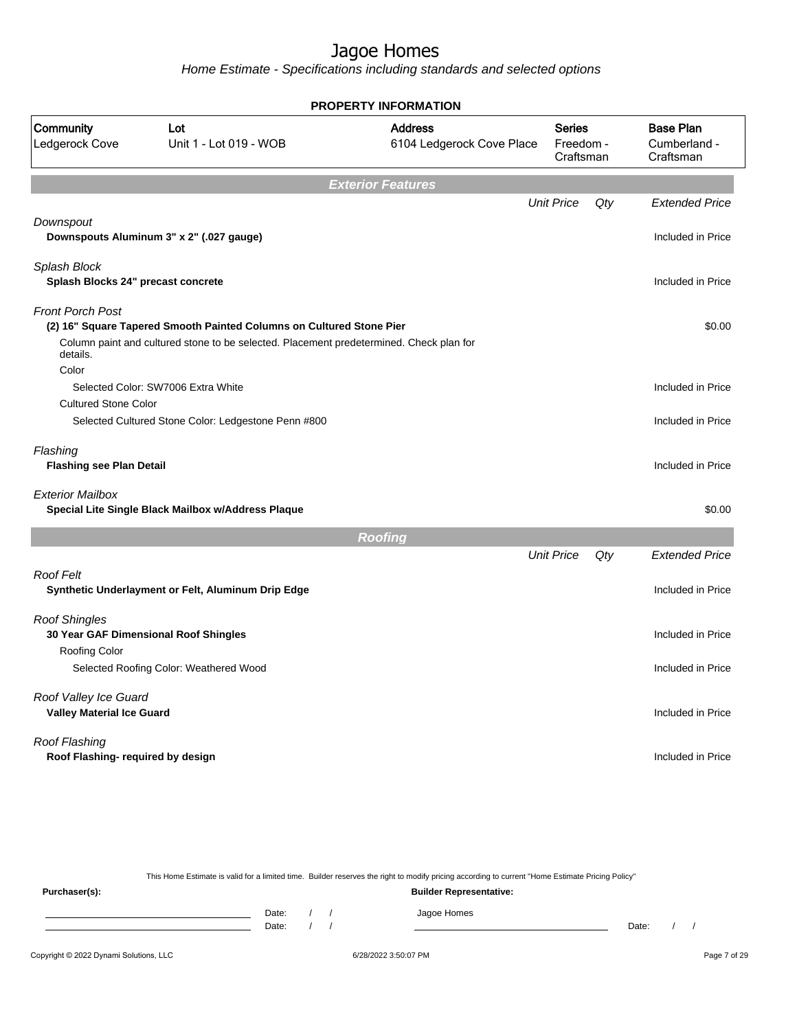Home Estimate - Specifications including standards and selected options

|                                             | <b>PROPERTY INFORMATION</b>                                                             |                                             |                                         |     |                                               |  |  |
|---------------------------------------------|-----------------------------------------------------------------------------------------|---------------------------------------------|-----------------------------------------|-----|-----------------------------------------------|--|--|
| Community<br>Ledgerock Cove                 | Lot<br>Unit 1 - Lot 019 - WOB                                                           | <b>Address</b><br>6104 Ledgerock Cove Place | <b>Series</b><br>Freedom -<br>Craftsman |     | <b>Base Plan</b><br>Cumberland -<br>Craftsman |  |  |
|                                             |                                                                                         | <b>Exterior Features</b>                    |                                         |     |                                               |  |  |
|                                             |                                                                                         |                                             | <b>Unit Price</b>                       | Qty | <b>Extended Price</b>                         |  |  |
| Downspout                                   | Downspouts Aluminum 3" x 2" (.027 gauge)                                                |                                             |                                         |     | Included in Price                             |  |  |
| Splash Block                                |                                                                                         |                                             |                                         |     |                                               |  |  |
| Splash Blocks 24" precast concrete          |                                                                                         |                                             |                                         |     | Included in Price                             |  |  |
| <b>Front Porch Post</b>                     |                                                                                         |                                             |                                         |     |                                               |  |  |
|                                             | (2) 16" Square Tapered Smooth Painted Columns on Cultured Stone Pier                    |                                             |                                         |     | \$0.00                                        |  |  |
| details.                                    | Column paint and cultured stone to be selected. Placement predetermined. Check plan for |                                             |                                         |     |                                               |  |  |
| Color                                       |                                                                                         |                                             |                                         |     |                                               |  |  |
|                                             | Selected Color: SW7006 Extra White                                                      |                                             |                                         |     | Included in Price                             |  |  |
| <b>Cultured Stone Color</b>                 |                                                                                         |                                             |                                         |     |                                               |  |  |
|                                             | Selected Cultured Stone Color: Ledgestone Penn #800                                     |                                             |                                         |     | Included in Price                             |  |  |
| Flashing<br><b>Flashing see Plan Detail</b> |                                                                                         |                                             |                                         |     | Included in Price                             |  |  |
| <b>Exterior Mailbox</b>                     | Special Lite Single Black Mailbox w/Address Plaque                                      |                                             |                                         |     | \$0.00                                        |  |  |
|                                             |                                                                                         | <b>Roofing</b>                              |                                         |     |                                               |  |  |
|                                             |                                                                                         |                                             | <b>Unit Price</b>                       | Qty | <b>Extended Price</b>                         |  |  |
| <b>Roof Felt</b>                            |                                                                                         |                                             |                                         |     |                                               |  |  |
|                                             | Synthetic Underlayment or Felt, Aluminum Drip Edge                                      |                                             |                                         |     | Included in Price                             |  |  |
| <b>Roof Shingles</b>                        |                                                                                         |                                             |                                         |     |                                               |  |  |
| <b>Roofing Color</b>                        | 30 Year GAF Dimensional Roof Shingles                                                   |                                             |                                         |     | Included in Price                             |  |  |
|                                             | Selected Roofing Color: Weathered Wood                                                  |                                             |                                         |     | Included in Price                             |  |  |
| Roof Valley Ice Guard                       |                                                                                         |                                             |                                         |     |                                               |  |  |
| <b>Valley Material Ice Guard</b>            |                                                                                         |                                             |                                         |     | Included in Price                             |  |  |
| Roof Flashing                               |                                                                                         |                                             |                                         |     |                                               |  |  |
| Roof Flashing- required by design           |                                                                                         |                                             |                                         |     | Included in Price                             |  |  |
|                                             |                                                                                         |                                             |                                         |     |                                               |  |  |

Copyright © 2022 Dynami Solutions, LLC <br>
6/28/2022 3:50:07 PM Page 7 of 29 This Home Estimate is valid for a limited time. Builder reserves the right to modify pricing according to current "Home Estimate Pricing Policy" **Purchaser(s): Builder Representative:** Date: / / Jagoe Homes<br>Date: / / Jagoe Homes Date: / / **Date: / / 2006** Date: / / / Date: / / /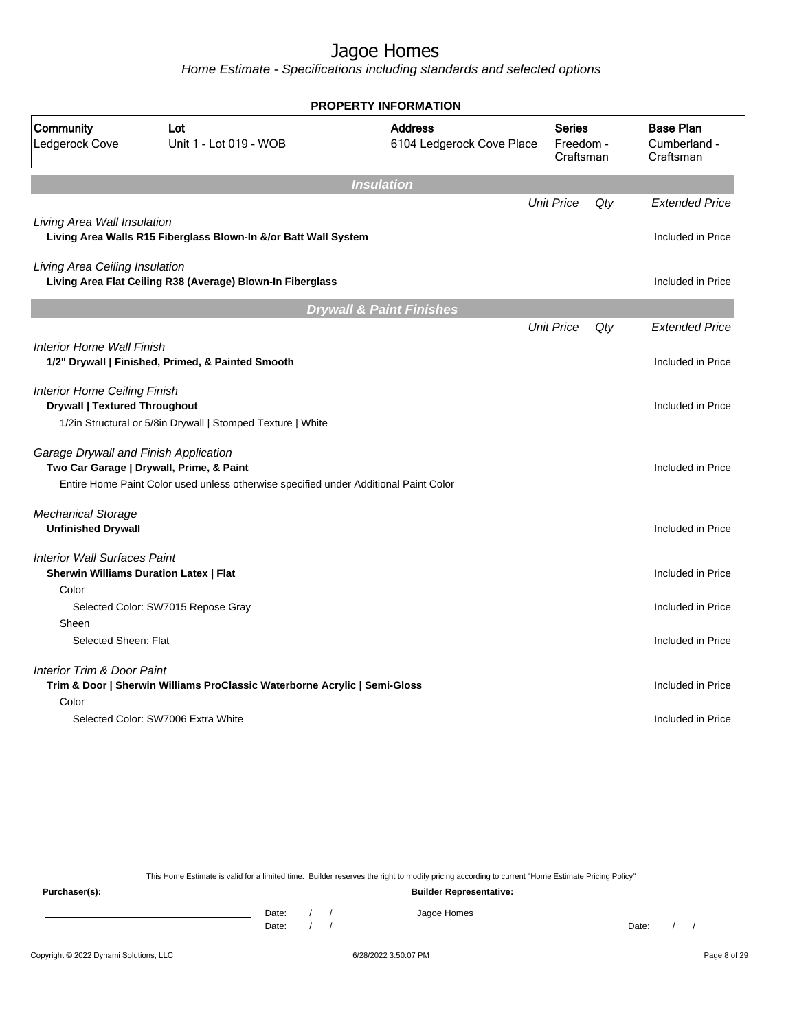Home Estimate - Specifications including standards and selected options

|                                                                                      |                                                                                      | <b>PROPERTY INFORMATION</b>                 |                                  |     |                                               |
|--------------------------------------------------------------------------------------|--------------------------------------------------------------------------------------|---------------------------------------------|----------------------------------|-----|-----------------------------------------------|
| Community<br>Ledgerock Cove                                                          | Lot<br>Unit 1 - Lot 019 - WOB                                                        | <b>Address</b><br>6104 Ledgerock Cove Place | Series<br>Freedom -<br>Craftsman |     | <b>Base Plan</b><br>Cumberland -<br>Craftsman |
|                                                                                      |                                                                                      | <b>Insulation</b>                           |                                  |     |                                               |
|                                                                                      |                                                                                      |                                             | <b>Unit Price</b>                | Qty | <b>Extended Price</b>                         |
| Living Area Wall Insulation                                                          | Living Area Walls R15 Fiberglass Blown-In &/or Batt Wall System                      |                                             |                                  |     | Included in Price                             |
| Living Area Ceiling Insulation                                                       | Living Area Flat Ceiling R38 (Average) Blown-In Fiberglass                           |                                             |                                  |     | Included in Price                             |
|                                                                                      |                                                                                      | <b>Drywall &amp; Paint Finishes</b>         |                                  |     |                                               |
|                                                                                      |                                                                                      |                                             | <b>Unit Price</b>                | Qty | <b>Extended Price</b>                         |
| Interior Home Wall Finish                                                            | 1/2" Drywall   Finished, Primed, & Painted Smooth                                    |                                             |                                  |     | Included in Price                             |
| <b>Interior Home Ceiling Finish</b><br><b>Drywall   Textured Throughout</b>          |                                                                                      |                                             |                                  |     | Included in Price                             |
|                                                                                      | 1/2in Structural or 5/8in Drywall   Stomped Texture   White                          |                                             |                                  |     |                                               |
| Garage Drywall and Finish Application                                                | Two Car Garage   Drywall, Prime, & Paint                                             |                                             |                                  |     | Included in Price                             |
|                                                                                      | Entire Home Paint Color used unless otherwise specified under Additional Paint Color |                                             |                                  |     |                                               |
| <b>Mechanical Storage</b><br><b>Unfinished Drywall</b>                               |                                                                                      |                                             |                                  |     | Included in Price                             |
| <b>Interior Wall Surfaces Paint</b><br><b>Sherwin Williams Duration Latex   Flat</b> |                                                                                      |                                             |                                  |     | Included in Price                             |
| Color                                                                                |                                                                                      |                                             |                                  |     |                                               |
| Sheen                                                                                | Selected Color: SW7015 Repose Gray                                                   |                                             |                                  |     | Included in Price                             |
| Selected Sheen: Flat                                                                 |                                                                                      |                                             |                                  |     | Included in Price                             |
| <b>Interior Trim &amp; Door Paint</b><br>Color                                       | Trim & Door   Sherwin Williams ProClassic Waterborne Acrylic   Semi-Gloss            |                                             |                                  |     | Included in Price                             |
|                                                                                      | Selected Color: SW7006 Extra White                                                   |                                             |                                  |     | Included in Price                             |
|                                                                                      |                                                                                      |                                             |                                  |     |                                               |

This Home Estimate is valid for a limited time. Builder reserves the right to modify pricing according to current "Home Estimate Pricing Policy"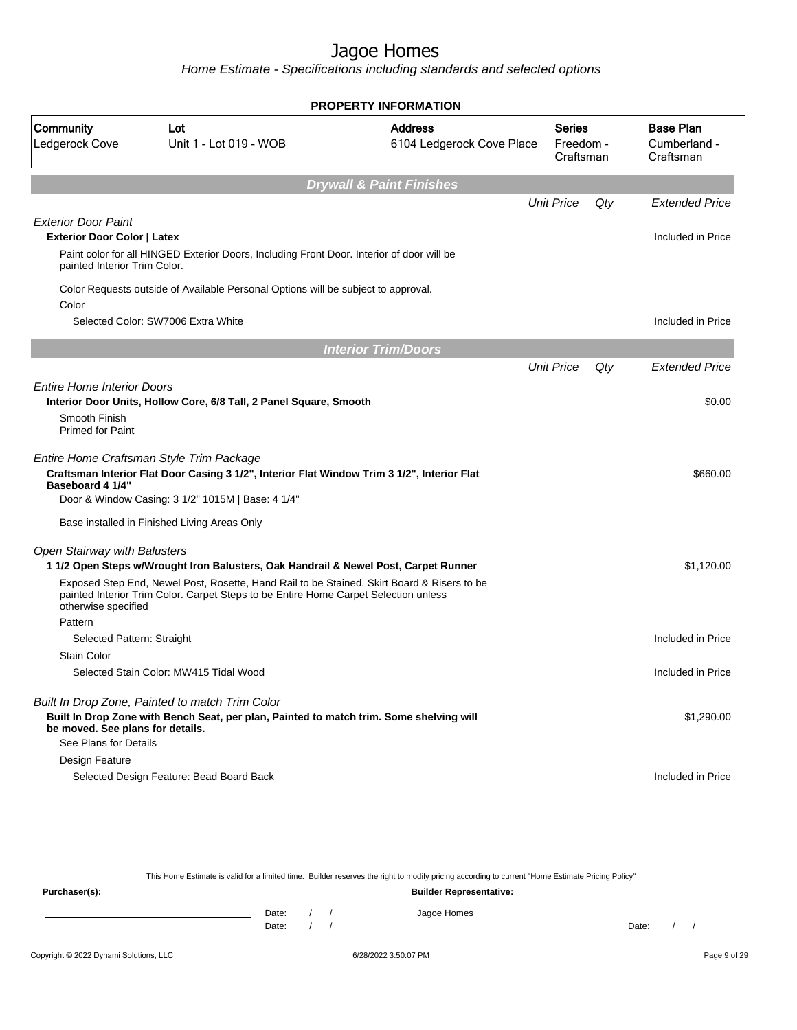Home Estimate - Specifications including standards and selected options

|                                                                                                  |                                                                                                                                                                                                                                              | <b>PROPERTY INFORMATION</b>                 |                                  |     |                                               |
|--------------------------------------------------------------------------------------------------|----------------------------------------------------------------------------------------------------------------------------------------------------------------------------------------------------------------------------------------------|---------------------------------------------|----------------------------------|-----|-----------------------------------------------|
| Community<br>Ledgerock Cove                                                                      | Lot<br>Unit 1 - Lot 019 - WOB                                                                                                                                                                                                                | <b>Address</b><br>6104 Ledgerock Cove Place | Series<br>Freedom -<br>Craftsman |     | <b>Base Plan</b><br>Cumberland -<br>Craftsman |
|                                                                                                  |                                                                                                                                                                                                                                              | <b>Drywall &amp; Paint Finishes</b>         |                                  |     |                                               |
|                                                                                                  |                                                                                                                                                                                                                                              |                                             | <b>Unit Price</b>                | Qty | <b>Extended Price</b>                         |
| <b>Exterior Door Paint</b><br><b>Exterior Door Color   Latex</b><br>painted Interior Trim Color. | Paint color for all HINGED Exterior Doors, Including Front Door. Interior of door will be                                                                                                                                                    |                                             |                                  |     | Included in Price                             |
| Color                                                                                            | Color Requests outside of Available Personal Options will be subject to approval.                                                                                                                                                            |                                             |                                  |     |                                               |
|                                                                                                  | Selected Color: SW7006 Extra White                                                                                                                                                                                                           |                                             |                                  |     | Included in Price                             |
|                                                                                                  |                                                                                                                                                                                                                                              | <b>Interior Trim/Doors</b>                  |                                  |     |                                               |
|                                                                                                  |                                                                                                                                                                                                                                              |                                             | <b>Unit Price</b>                | Qty | <b>Extended Price</b>                         |
| <b>Entire Home Interior Doors</b><br>Smooth Finish<br><b>Primed for Paint</b>                    | Interior Door Units, Hollow Core, 6/8 Tall, 2 Panel Square, Smooth                                                                                                                                                                           |                                             |                                  |     | \$0.00                                        |
| Baseboard 4 1/4"                                                                                 | Entire Home Craftsman Style Trim Package<br>Craftsman Interior Flat Door Casing 3 1/2", Interior Flat Window Trim 3 1/2", Interior Flat<br>Door & Window Casing: 3 1/2" 1015M   Base: 4 1/4"<br>Base installed in Finished Living Areas Only |                                             |                                  |     | \$660.00                                      |
| <b>Open Stairway with Balusters</b>                                                              | 1 1/2 Open Steps w/Wrought Iron Balusters, Oak Handrail & Newel Post, Carpet Runner                                                                                                                                                          |                                             |                                  |     | \$1,120.00                                    |
| otherwise specified                                                                              | Exposed Step End, Newel Post, Rosette, Hand Rail to be Stained. Skirt Board & Risers to be<br>painted Interior Trim Color. Carpet Steps to be Entire Home Carpet Selection unless                                                            |                                             |                                  |     |                                               |
| Pattern                                                                                          |                                                                                                                                                                                                                                              |                                             |                                  |     |                                               |
| Selected Pattern: Straight                                                                       |                                                                                                                                                                                                                                              |                                             |                                  |     | Included in Price                             |
| <b>Stain Color</b>                                                                               |                                                                                                                                                                                                                                              |                                             |                                  |     |                                               |
|                                                                                                  | Selected Stain Color: MW415 Tidal Wood                                                                                                                                                                                                       |                                             |                                  |     | Included in Price                             |
| be moved. See plans for details.<br>See Plans for Details                                        | Built In Drop Zone, Painted to match Trim Color<br>Built In Drop Zone with Bench Seat, per plan, Painted to match trim. Some shelving will                                                                                                   |                                             |                                  |     | \$1,290.00                                    |
| Design Feature                                                                                   |                                                                                                                                                                                                                                              |                                             |                                  |     |                                               |
|                                                                                                  | Selected Design Feature: Bead Board Back                                                                                                                                                                                                     |                                             |                                  |     | Included in Price                             |

This Home Estimate is valid for a limited time. Builder reserves the right to modify pricing according to current "Home Estimate Pricing Policy"

| Purchaser(s): |                |  | <b>Builder Representative:</b> |       |  |
|---------------|----------------|--|--------------------------------|-------|--|
|               | Date:<br>Date: |  | Jagoe Homes                    | Date: |  |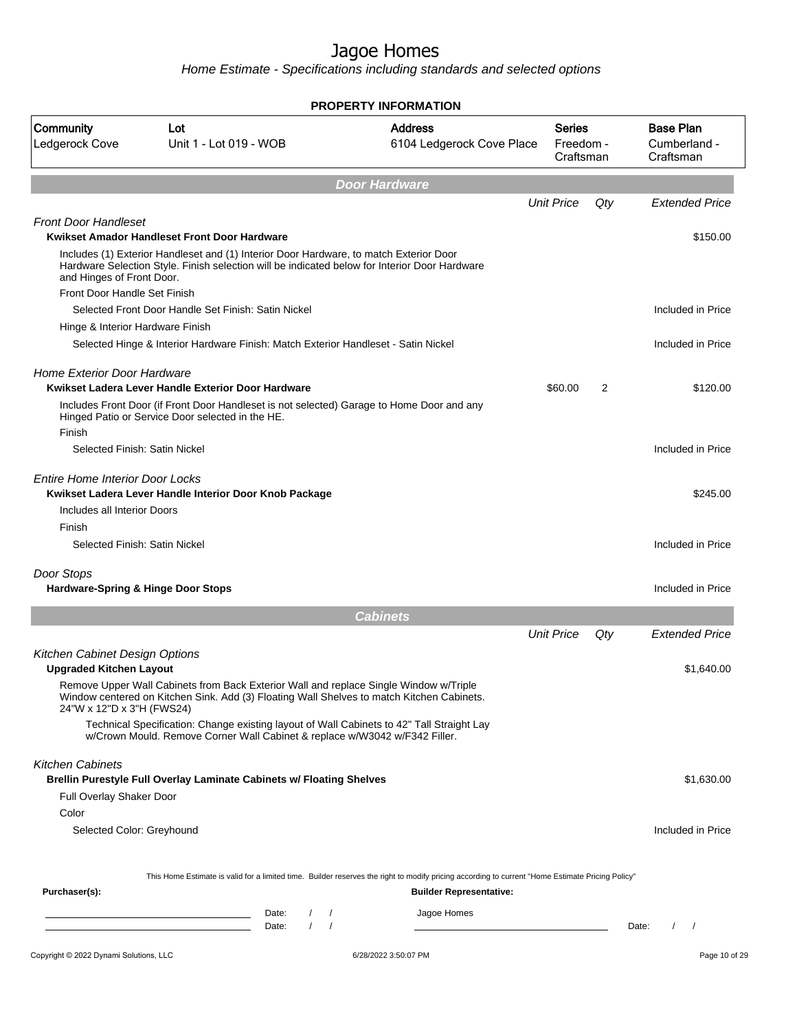|                                                                  |                                                                                                                                                                                         | <b>PROPERTY INFORMATION</b>                 |                                  |     |                                               |
|------------------------------------------------------------------|-----------------------------------------------------------------------------------------------------------------------------------------------------------------------------------------|---------------------------------------------|----------------------------------|-----|-----------------------------------------------|
| Community<br>Ledgerock Cove                                      | Lot<br>Unit 1 - Lot 019 - WOB                                                                                                                                                           | <b>Address</b><br>6104 Ledgerock Cove Place | Series<br>Freedom -<br>Craftsman |     | <b>Base Plan</b><br>Cumberland -<br>Craftsman |
|                                                                  |                                                                                                                                                                                         | <b>Door Hardware</b>                        |                                  |     |                                               |
|                                                                  |                                                                                                                                                                                         |                                             | <b>Unit Price</b>                | Qty | <b>Extended Price</b>                         |
| <b>Front Door Handleset</b>                                      | Kwikset Amador Handleset Front Door Hardware                                                                                                                                            |                                             |                                  |     | \$150.00                                      |
| and Hinges of Front Door.                                        | Includes (1) Exterior Handleset and (1) Interior Door Hardware, to match Exterior Door<br>Hardware Selection Style. Finish selection will be indicated below for Interior Door Hardware |                                             |                                  |     |                                               |
| Front Door Handle Set Finish                                     |                                                                                                                                                                                         |                                             |                                  |     |                                               |
|                                                                  | Selected Front Door Handle Set Finish: Satin Nickel                                                                                                                                     |                                             |                                  |     | Included in Price                             |
| Hinge & Interior Hardware Finish                                 |                                                                                                                                                                                         |                                             |                                  |     |                                               |
|                                                                  | Selected Hinge & Interior Hardware Finish: Match Exterior Handleset - Satin Nickel                                                                                                      |                                             |                                  |     | Included in Price                             |
| Home Exterior Door Hardware                                      | Kwikset Ladera Lever Handle Exterior Door Hardware                                                                                                                                      |                                             | \$60.00                          | 2   | \$120.00                                      |
| Finish                                                           | Includes Front Door (if Front Door Handleset is not selected) Garage to Home Door and any<br>Hinged Patio or Service Door selected in the HE.                                           |                                             |                                  |     |                                               |
| Selected Finish: Satin Nickel                                    |                                                                                                                                                                                         |                                             |                                  |     | Included in Price                             |
| <b>Entire Home Interior Door Locks</b>                           | Kwikset Ladera Lever Handle Interior Door Knob Package                                                                                                                                  |                                             |                                  |     | \$245.00                                      |
| Includes all Interior Doors                                      |                                                                                                                                                                                         |                                             |                                  |     |                                               |
| Finish                                                           |                                                                                                                                                                                         |                                             |                                  |     |                                               |
| Selected Finish: Satin Nickel                                    |                                                                                                                                                                                         |                                             |                                  |     | Included in Price                             |
| Door Stops                                                       |                                                                                                                                                                                         |                                             |                                  |     |                                               |
| Hardware-Spring & Hinge Door Stops                               |                                                                                                                                                                                         |                                             |                                  |     | Included in Price                             |
|                                                                  |                                                                                                                                                                                         | <b>Cabinets</b>                             |                                  |     |                                               |
|                                                                  |                                                                                                                                                                                         |                                             | <b>Unit Price</b>                | Qty | <b>Extended Price</b>                         |
| Kitchen Cabinet Design Options<br><b>Upgraded Kitchen Layout</b> |                                                                                                                                                                                         |                                             |                                  |     | \$1,640.00                                    |
| 24"W x 12"D x 3"H (FWS24)                                        | Remove Upper Wall Cabinets from Back Exterior Wall and replace Single Window w/Triple<br>Window centered on Kitchen Sink. Add (3) Floating Wall Shelves to match Kitchen Cabinets.      |                                             |                                  |     |                                               |
|                                                                  | Technical Specification: Change existing layout of Wall Cabinets to 42" Tall Straight Lay<br>w/Crown Mould. Remove Corner Wall Cabinet & replace w/W3042 w/F342 Filler.                 |                                             |                                  |     |                                               |
| <b>Kitchen Cabinets</b>                                          | Brellin Purestyle Full Overlay Laminate Cabinets w/ Floating Shelves                                                                                                                    |                                             |                                  |     | \$1,630.00                                    |
| Full Overlay Shaker Door                                         |                                                                                                                                                                                         |                                             |                                  |     |                                               |
| Color                                                            |                                                                                                                                                                                         |                                             |                                  |     |                                               |
| Selected Color: Greyhound                                        |                                                                                                                                                                                         |                                             |                                  |     | Included in Price                             |
|                                                                  | This Home Estimate is valid for a limited time. Builder reserves the right to modify pricing according to current "Home Estimate Pricing Policy"                                        |                                             |                                  |     |                                               |
| Purchaser(s):                                                    |                                                                                                                                                                                         | <b>Builder Representative:</b>              |                                  |     |                                               |
|                                                                  | Date:<br>$\sqrt{ }$                                                                                                                                                                     | Jagoe Homes                                 |                                  |     |                                               |
|                                                                  | the control of the control of the control of the control of the control of<br>$\left  \right $<br>Date:                                                                                 |                                             |                                  |     | $\frac{1}{2}$<br>Date:                        |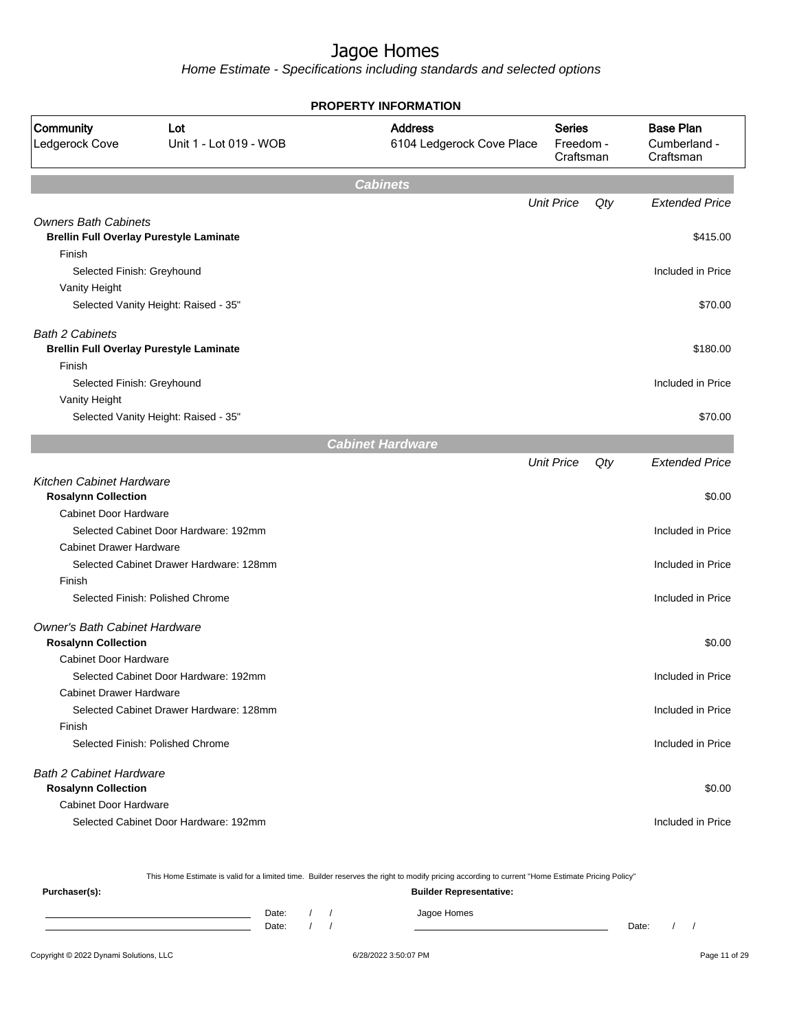Home Estimate - Specifications including standards and selected options

| <b>Base Plan</b><br>Community<br><b>Address</b><br><b>Series</b><br>Lot<br>Ledgerock Cove<br>Unit 1 - Lot 019 - WOB<br>6104 Ledgerock Cove Place<br>Freedom -<br>Cumberland -<br>Craftsman<br>Craftsman<br><b>Cabinets</b><br><b>Unit Price</b><br><b>Extended Price</b><br>Qty<br><b>Owners Bath Cabinets</b><br><b>Brellin Full Overlay Purestyle Laminate</b><br>\$415.00<br>Finish<br>Selected Finish: Greyhound<br>Included in Price<br>Vanity Height<br>Selected Vanity Height: Raised - 35"<br>\$70.00<br><b>Bath 2 Cabinets</b><br><b>Brellin Full Overlay Purestyle Laminate</b><br>\$180.00<br>Finish<br>Included in Price<br>Selected Finish: Greyhound<br>Vanity Height<br>Selected Vanity Height: Raised - 35"<br>\$70.00<br><b>Cabinet Hardware</b><br><b>Unit Price</b><br><b>Extended Price</b><br>Qty<br>Kitchen Cabinet Hardware<br><b>Rosalynn Collection</b><br>\$0.00<br><b>Cabinet Door Hardware</b><br>Selected Cabinet Door Hardware: 192mm<br>Included in Price<br><b>Cabinet Drawer Hardware</b><br>Selected Cabinet Drawer Hardware: 128mm<br>Included in Price<br>Finish<br>Selected Finish: Polished Chrome<br>Included in Price<br>Owner's Bath Cabinet Hardware<br><b>Rosalynn Collection</b><br>\$0.00<br>Cabinet Door Hardware<br>Selected Cabinet Door Hardware: 192mm<br>Included in Price<br><b>Cabinet Drawer Hardware</b><br>Selected Cabinet Drawer Hardware: 128mm<br>Included in Price<br>Finish<br>Selected Finish: Polished Chrome<br>Included in Price<br><b>Bath 2 Cabinet Hardware</b><br><b>Rosalynn Collection</b><br>\$0.00<br><b>Cabinet Door Hardware</b><br>Selected Cabinet Door Hardware: 192mm<br>Included in Price | <b>PROPERTY INFORMATION</b> |  |  |  |  |  |  |
|----------------------------------------------------------------------------------------------------------------------------------------------------------------------------------------------------------------------------------------------------------------------------------------------------------------------------------------------------------------------------------------------------------------------------------------------------------------------------------------------------------------------------------------------------------------------------------------------------------------------------------------------------------------------------------------------------------------------------------------------------------------------------------------------------------------------------------------------------------------------------------------------------------------------------------------------------------------------------------------------------------------------------------------------------------------------------------------------------------------------------------------------------------------------------------------------------------------------------------------------------------------------------------------------------------------------------------------------------------------------------------------------------------------------------------------------------------------------------------------------------------------------------------------------------------------------------------------------------------------------------------------------------------------------------|-----------------------------|--|--|--|--|--|--|
|                                                                                                                                                                                                                                                                                                                                                                                                                                                                                                                                                                                                                                                                                                                                                                                                                                                                                                                                                                                                                                                                                                                                                                                                                                                                                                                                                                                                                                                                                                                                                                                                                                                                            |                             |  |  |  |  |  |  |
|                                                                                                                                                                                                                                                                                                                                                                                                                                                                                                                                                                                                                                                                                                                                                                                                                                                                                                                                                                                                                                                                                                                                                                                                                                                                                                                                                                                                                                                                                                                                                                                                                                                                            |                             |  |  |  |  |  |  |
|                                                                                                                                                                                                                                                                                                                                                                                                                                                                                                                                                                                                                                                                                                                                                                                                                                                                                                                                                                                                                                                                                                                                                                                                                                                                                                                                                                                                                                                                                                                                                                                                                                                                            |                             |  |  |  |  |  |  |
|                                                                                                                                                                                                                                                                                                                                                                                                                                                                                                                                                                                                                                                                                                                                                                                                                                                                                                                                                                                                                                                                                                                                                                                                                                                                                                                                                                                                                                                                                                                                                                                                                                                                            |                             |  |  |  |  |  |  |
|                                                                                                                                                                                                                                                                                                                                                                                                                                                                                                                                                                                                                                                                                                                                                                                                                                                                                                                                                                                                                                                                                                                                                                                                                                                                                                                                                                                                                                                                                                                                                                                                                                                                            |                             |  |  |  |  |  |  |
|                                                                                                                                                                                                                                                                                                                                                                                                                                                                                                                                                                                                                                                                                                                                                                                                                                                                                                                                                                                                                                                                                                                                                                                                                                                                                                                                                                                                                                                                                                                                                                                                                                                                            |                             |  |  |  |  |  |  |
|                                                                                                                                                                                                                                                                                                                                                                                                                                                                                                                                                                                                                                                                                                                                                                                                                                                                                                                                                                                                                                                                                                                                                                                                                                                                                                                                                                                                                                                                                                                                                                                                                                                                            |                             |  |  |  |  |  |  |
|                                                                                                                                                                                                                                                                                                                                                                                                                                                                                                                                                                                                                                                                                                                                                                                                                                                                                                                                                                                                                                                                                                                                                                                                                                                                                                                                                                                                                                                                                                                                                                                                                                                                            |                             |  |  |  |  |  |  |
|                                                                                                                                                                                                                                                                                                                                                                                                                                                                                                                                                                                                                                                                                                                                                                                                                                                                                                                                                                                                                                                                                                                                                                                                                                                                                                                                                                                                                                                                                                                                                                                                                                                                            |                             |  |  |  |  |  |  |
|                                                                                                                                                                                                                                                                                                                                                                                                                                                                                                                                                                                                                                                                                                                                                                                                                                                                                                                                                                                                                                                                                                                                                                                                                                                                                                                                                                                                                                                                                                                                                                                                                                                                            |                             |  |  |  |  |  |  |
|                                                                                                                                                                                                                                                                                                                                                                                                                                                                                                                                                                                                                                                                                                                                                                                                                                                                                                                                                                                                                                                                                                                                                                                                                                                                                                                                                                                                                                                                                                                                                                                                                                                                            |                             |  |  |  |  |  |  |
|                                                                                                                                                                                                                                                                                                                                                                                                                                                                                                                                                                                                                                                                                                                                                                                                                                                                                                                                                                                                                                                                                                                                                                                                                                                                                                                                                                                                                                                                                                                                                                                                                                                                            |                             |  |  |  |  |  |  |
|                                                                                                                                                                                                                                                                                                                                                                                                                                                                                                                                                                                                                                                                                                                                                                                                                                                                                                                                                                                                                                                                                                                                                                                                                                                                                                                                                                                                                                                                                                                                                                                                                                                                            |                             |  |  |  |  |  |  |
|                                                                                                                                                                                                                                                                                                                                                                                                                                                                                                                                                                                                                                                                                                                                                                                                                                                                                                                                                                                                                                                                                                                                                                                                                                                                                                                                                                                                                                                                                                                                                                                                                                                                            |                             |  |  |  |  |  |  |
|                                                                                                                                                                                                                                                                                                                                                                                                                                                                                                                                                                                                                                                                                                                                                                                                                                                                                                                                                                                                                                                                                                                                                                                                                                                                                                                                                                                                                                                                                                                                                                                                                                                                            |                             |  |  |  |  |  |  |
|                                                                                                                                                                                                                                                                                                                                                                                                                                                                                                                                                                                                                                                                                                                                                                                                                                                                                                                                                                                                                                                                                                                                                                                                                                                                                                                                                                                                                                                                                                                                                                                                                                                                            |                             |  |  |  |  |  |  |
|                                                                                                                                                                                                                                                                                                                                                                                                                                                                                                                                                                                                                                                                                                                                                                                                                                                                                                                                                                                                                                                                                                                                                                                                                                                                                                                                                                                                                                                                                                                                                                                                                                                                            |                             |  |  |  |  |  |  |
|                                                                                                                                                                                                                                                                                                                                                                                                                                                                                                                                                                                                                                                                                                                                                                                                                                                                                                                                                                                                                                                                                                                                                                                                                                                                                                                                                                                                                                                                                                                                                                                                                                                                            |                             |  |  |  |  |  |  |
|                                                                                                                                                                                                                                                                                                                                                                                                                                                                                                                                                                                                                                                                                                                                                                                                                                                                                                                                                                                                                                                                                                                                                                                                                                                                                                                                                                                                                                                                                                                                                                                                                                                                            |                             |  |  |  |  |  |  |
|                                                                                                                                                                                                                                                                                                                                                                                                                                                                                                                                                                                                                                                                                                                                                                                                                                                                                                                                                                                                                                                                                                                                                                                                                                                                                                                                                                                                                                                                                                                                                                                                                                                                            |                             |  |  |  |  |  |  |
|                                                                                                                                                                                                                                                                                                                                                                                                                                                                                                                                                                                                                                                                                                                                                                                                                                                                                                                                                                                                                                                                                                                                                                                                                                                                                                                                                                                                                                                                                                                                                                                                                                                                            |                             |  |  |  |  |  |  |
|                                                                                                                                                                                                                                                                                                                                                                                                                                                                                                                                                                                                                                                                                                                                                                                                                                                                                                                                                                                                                                                                                                                                                                                                                                                                                                                                                                                                                                                                                                                                                                                                                                                                            |                             |  |  |  |  |  |  |
|                                                                                                                                                                                                                                                                                                                                                                                                                                                                                                                                                                                                                                                                                                                                                                                                                                                                                                                                                                                                                                                                                                                                                                                                                                                                                                                                                                                                                                                                                                                                                                                                                                                                            |                             |  |  |  |  |  |  |
|                                                                                                                                                                                                                                                                                                                                                                                                                                                                                                                                                                                                                                                                                                                                                                                                                                                                                                                                                                                                                                                                                                                                                                                                                                                                                                                                                                                                                                                                                                                                                                                                                                                                            |                             |  |  |  |  |  |  |
|                                                                                                                                                                                                                                                                                                                                                                                                                                                                                                                                                                                                                                                                                                                                                                                                                                                                                                                                                                                                                                                                                                                                                                                                                                                                                                                                                                                                                                                                                                                                                                                                                                                                            |                             |  |  |  |  |  |  |
|                                                                                                                                                                                                                                                                                                                                                                                                                                                                                                                                                                                                                                                                                                                                                                                                                                                                                                                                                                                                                                                                                                                                                                                                                                                                                                                                                                                                                                                                                                                                                                                                                                                                            |                             |  |  |  |  |  |  |
|                                                                                                                                                                                                                                                                                                                                                                                                                                                                                                                                                                                                                                                                                                                                                                                                                                                                                                                                                                                                                                                                                                                                                                                                                                                                                                                                                                                                                                                                                                                                                                                                                                                                            |                             |  |  |  |  |  |  |
|                                                                                                                                                                                                                                                                                                                                                                                                                                                                                                                                                                                                                                                                                                                                                                                                                                                                                                                                                                                                                                                                                                                                                                                                                                                                                                                                                                                                                                                                                                                                                                                                                                                                            |                             |  |  |  |  |  |  |
|                                                                                                                                                                                                                                                                                                                                                                                                                                                                                                                                                                                                                                                                                                                                                                                                                                                                                                                                                                                                                                                                                                                                                                                                                                                                                                                                                                                                                                                                                                                                                                                                                                                                            |                             |  |  |  |  |  |  |
|                                                                                                                                                                                                                                                                                                                                                                                                                                                                                                                                                                                                                                                                                                                                                                                                                                                                                                                                                                                                                                                                                                                                                                                                                                                                                                                                                                                                                                                                                                                                                                                                                                                                            |                             |  |  |  |  |  |  |
|                                                                                                                                                                                                                                                                                                                                                                                                                                                                                                                                                                                                                                                                                                                                                                                                                                                                                                                                                                                                                                                                                                                                                                                                                                                                                                                                                                                                                                                                                                                                                                                                                                                                            |                             |  |  |  |  |  |  |
|                                                                                                                                                                                                                                                                                                                                                                                                                                                                                                                                                                                                                                                                                                                                                                                                                                                                                                                                                                                                                                                                                                                                                                                                                                                                                                                                                                                                                                                                                                                                                                                                                                                                            |                             |  |  |  |  |  |  |
|                                                                                                                                                                                                                                                                                                                                                                                                                                                                                                                                                                                                                                                                                                                                                                                                                                                                                                                                                                                                                                                                                                                                                                                                                                                                                                                                                                                                                                                                                                                                                                                                                                                                            |                             |  |  |  |  |  |  |
|                                                                                                                                                                                                                                                                                                                                                                                                                                                                                                                                                                                                                                                                                                                                                                                                                                                                                                                                                                                                                                                                                                                                                                                                                                                                                                                                                                                                                                                                                                                                                                                                                                                                            |                             |  |  |  |  |  |  |
|                                                                                                                                                                                                                                                                                                                                                                                                                                                                                                                                                                                                                                                                                                                                                                                                                                                                                                                                                                                                                                                                                                                                                                                                                                                                                                                                                                                                                                                                                                                                                                                                                                                                            |                             |  |  |  |  |  |  |
|                                                                                                                                                                                                                                                                                                                                                                                                                                                                                                                                                                                                                                                                                                                                                                                                                                                                                                                                                                                                                                                                                                                                                                                                                                                                                                                                                                                                                                                                                                                                                                                                                                                                            |                             |  |  |  |  |  |  |

This Home Estimate is valid for a limited time. Builder reserves the right to modify pricing according to current "Home Estimate Pricing Policy"

| Purchaser(s): |                |  | <b>Builder Representative:</b> |       |  |
|---------------|----------------|--|--------------------------------|-------|--|
|               | Date:<br>Date: |  | Jagoe Homes                    | Date: |  |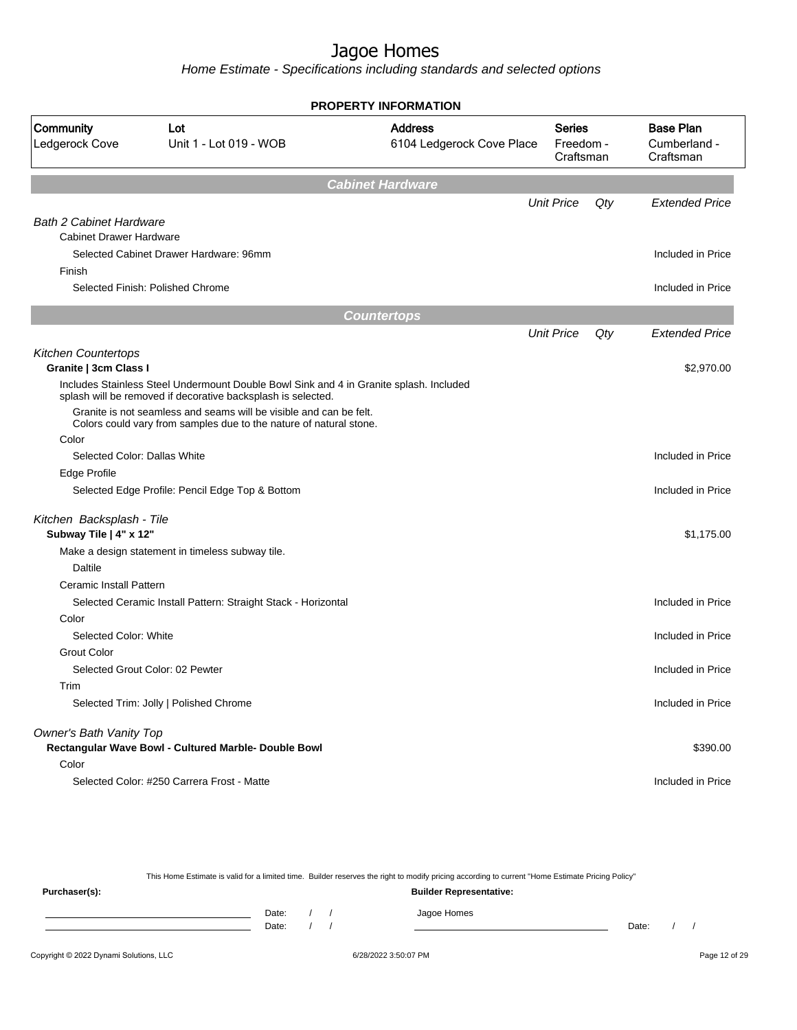Home Estimate - Specifications including standards and selected options

| <b>PROPERTY INFORMATION</b>                           |                                                                                                                                                        |                                             |                                         |     |                                               |  |
|-------------------------------------------------------|--------------------------------------------------------------------------------------------------------------------------------------------------------|---------------------------------------------|-----------------------------------------|-----|-----------------------------------------------|--|
| Community<br>Ledgerock Cove                           | Lot<br>Unit 1 - Lot 019 - WOB                                                                                                                          | <b>Address</b><br>6104 Ledgerock Cove Place | <b>Series</b><br>Freedom -<br>Craftsman |     | <b>Base Plan</b><br>Cumberland -<br>Craftsman |  |
|                                                       |                                                                                                                                                        | <b>Cabinet Hardware</b>                     |                                         |     |                                               |  |
|                                                       |                                                                                                                                                        |                                             | <b>Unit Price</b>                       | Qty | <b>Extended Price</b>                         |  |
| <b>Bath 2 Cabinet Hardware</b>                        |                                                                                                                                                        |                                             |                                         |     |                                               |  |
| <b>Cabinet Drawer Hardware</b>                        |                                                                                                                                                        |                                             |                                         |     |                                               |  |
| Selected Cabinet Drawer Hardware: 96mm                |                                                                                                                                                        |                                             |                                         |     | Included in Price                             |  |
| Finish<br>Selected Finish: Polished Chrome            |                                                                                                                                                        |                                             |                                         |     | Included in Price                             |  |
|                                                       |                                                                                                                                                        |                                             |                                         |     |                                               |  |
|                                                       |                                                                                                                                                        | <b>Countertops</b>                          |                                         |     |                                               |  |
|                                                       |                                                                                                                                                        |                                             | <b>Unit Price</b>                       | Qty | <b>Extended Price</b>                         |  |
| <b>Kitchen Countertops</b>                            |                                                                                                                                                        |                                             |                                         |     |                                               |  |
| Granite   3cm Class I                                 |                                                                                                                                                        |                                             |                                         |     | \$2,970.00                                    |  |
|                                                       | Includes Stainless Steel Undermount Double Bowl Sink and 4 in Granite splash. Included<br>splash will be removed if decorative backsplash is selected. |                                             |                                         |     |                                               |  |
|                                                       | Granite is not seamless and seams will be visible and can be felt.<br>Colors could vary from samples due to the nature of natural stone.               |                                             |                                         |     |                                               |  |
| Color                                                 |                                                                                                                                                        |                                             |                                         |     |                                               |  |
| Selected Color: Dallas White                          |                                                                                                                                                        |                                             |                                         |     | Included in Price                             |  |
| Edge Profile                                          |                                                                                                                                                        |                                             |                                         |     |                                               |  |
|                                                       | Selected Edge Profile: Pencil Edge Top & Bottom                                                                                                        |                                             |                                         |     | Included in Price                             |  |
| Kitchen Backsplash - Tile                             |                                                                                                                                                        |                                             |                                         |     |                                               |  |
| Subway Tile   4" x 12"                                |                                                                                                                                                        |                                             |                                         |     | \$1,175.00                                    |  |
| Make a design statement in timeless subway tile.      |                                                                                                                                                        |                                             |                                         |     |                                               |  |
| <b>Daltile</b>                                        |                                                                                                                                                        |                                             |                                         |     |                                               |  |
| Ceramic Install Pattern                               |                                                                                                                                                        |                                             |                                         |     |                                               |  |
|                                                       | Selected Ceramic Install Pattern: Straight Stack - Horizontal                                                                                          |                                             |                                         |     | Included in Price                             |  |
| Color                                                 |                                                                                                                                                        |                                             |                                         |     |                                               |  |
| Selected Color: White                                 |                                                                                                                                                        |                                             |                                         |     | Included in Price                             |  |
| <b>Grout Color</b><br>Selected Grout Color: 02 Pewter |                                                                                                                                                        |                                             |                                         |     | Included in Price                             |  |
| Trim                                                  |                                                                                                                                                        |                                             |                                         |     |                                               |  |
| Selected Trim: Jolly   Polished Chrome                |                                                                                                                                                        |                                             |                                         |     | Included in Price                             |  |
| Owner's Bath Vanity Top                               |                                                                                                                                                        |                                             |                                         |     |                                               |  |
|                                                       | Rectangular Wave Bowl - Cultured Marble- Double Bowl                                                                                                   |                                             |                                         |     | \$390.00                                      |  |
| Color                                                 |                                                                                                                                                        |                                             |                                         |     |                                               |  |
| Selected Color: #250 Carrera Frost - Matte            |                                                                                                                                                        |                                             |                                         |     | Included in Price                             |  |

This Home Estimate is valid for a limited time. Builder reserves the right to modify pricing according to current "Home Estimate Pricing Policy" **Purchaser(s): Builder Representative:** Date: / / Jagoe Homes<br>Date: / / Jagoe Homes Date: / / **Date: / / 2006** Date: / / / Date: / / /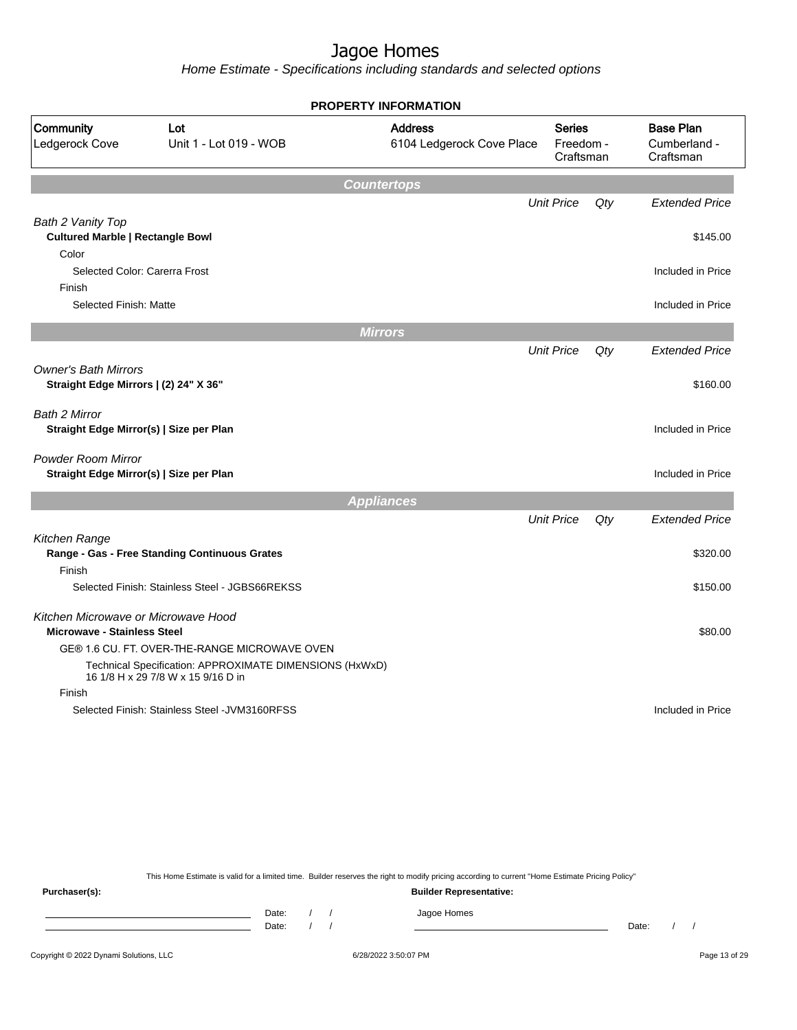Home Estimate - Specifications including standards and selected options

|                                                                      |                                                                                               | <b>PROPERTY INFORMATION</b>                 |                                         |        |                                               |
|----------------------------------------------------------------------|-----------------------------------------------------------------------------------------------|---------------------------------------------|-----------------------------------------|--------|-----------------------------------------------|
| Community<br>Ledgerock Cove                                          | Lot<br>Unit 1 - Lot 019 - WOB                                                                 | <b>Address</b><br>6104 Ledgerock Cove Place | <b>Series</b><br>Freedom -<br>Craftsman |        | <b>Base Plan</b><br>Cumberland -<br>Craftsman |
|                                                                      |                                                                                               | <b>Countertops</b>                          |                                         |        |                                               |
|                                                                      |                                                                                               |                                             | <b>Unit Price</b>                       | Qty    | <b>Extended Price</b>                         |
| Bath 2 Vanity Top                                                    |                                                                                               |                                             |                                         |        |                                               |
| <b>Cultured Marble   Rectangle Bowl</b>                              |                                                                                               |                                             |                                         |        | \$145.00                                      |
| Color                                                                |                                                                                               |                                             |                                         |        |                                               |
| Selected Color: Carerra Frost                                        |                                                                                               |                                             |                                         |        | Included in Price                             |
| Finish                                                               |                                                                                               |                                             |                                         |        |                                               |
| Selected Finish: Matte                                               |                                                                                               |                                             |                                         |        | Included in Price                             |
|                                                                      |                                                                                               | <b>Mirrors</b>                              |                                         |        |                                               |
|                                                                      |                                                                                               |                                             | <b>Unit Price</b>                       | Qty    | <b>Extended Price</b>                         |
| <b>Owner's Bath Mirrors</b><br>Straight Edge Mirrors   (2) 24" X 36" |                                                                                               |                                             |                                         |        | \$160.00                                      |
| <b>Bath 2 Mirror</b>                                                 |                                                                                               |                                             |                                         |        | Included in Price                             |
| Straight Edge Mirror(s)   Size per Plan                              |                                                                                               |                                             |                                         |        |                                               |
| Powder Room Mirror<br>Straight Edge Mirror(s)   Size per Plan        |                                                                                               |                                             |                                         |        | Included in Price                             |
|                                                                      |                                                                                               | <b>Appliances</b>                           |                                         |        |                                               |
|                                                                      |                                                                                               |                                             | <b>Unit Price</b>                       | $Q$ ty | <b>Extended Price</b>                         |
| Kitchen Range                                                        |                                                                                               |                                             |                                         |        |                                               |
|                                                                      | Range - Gas - Free Standing Continuous Grates                                                 |                                             |                                         |        | \$320.00                                      |
| Finish                                                               |                                                                                               |                                             |                                         |        |                                               |
|                                                                      | Selected Finish: Stainless Steel - JGBS66REKSS                                                |                                             |                                         |        | \$150.00                                      |
| Kitchen Microwave or Microwave Hood                                  |                                                                                               |                                             |                                         |        |                                               |
| <b>Microwave - Stainless Steel</b>                                   |                                                                                               |                                             |                                         |        | \$80.00                                       |
|                                                                      | GE® 1.6 CU. FT. OVER-THE-RANGE MICROWAVE OVEN                                                 |                                             |                                         |        |                                               |
|                                                                      | Technical Specification: APPROXIMATE DIMENSIONS (HxWxD)<br>16 1/8 H x 29 7/8 W x 15 9/16 D in |                                             |                                         |        |                                               |
| Finish                                                               |                                                                                               |                                             |                                         |        |                                               |
|                                                                      | Selected Finish: Stainless Steel - JVM3160RFSS                                                |                                             |                                         |        | Included in Price                             |
|                                                                      |                                                                                               |                                             |                                         |        |                                               |

This Home Estimate is valid for a limited time. Builder reserves the right to modify pricing according to current "Home Estimate Pricing Policy"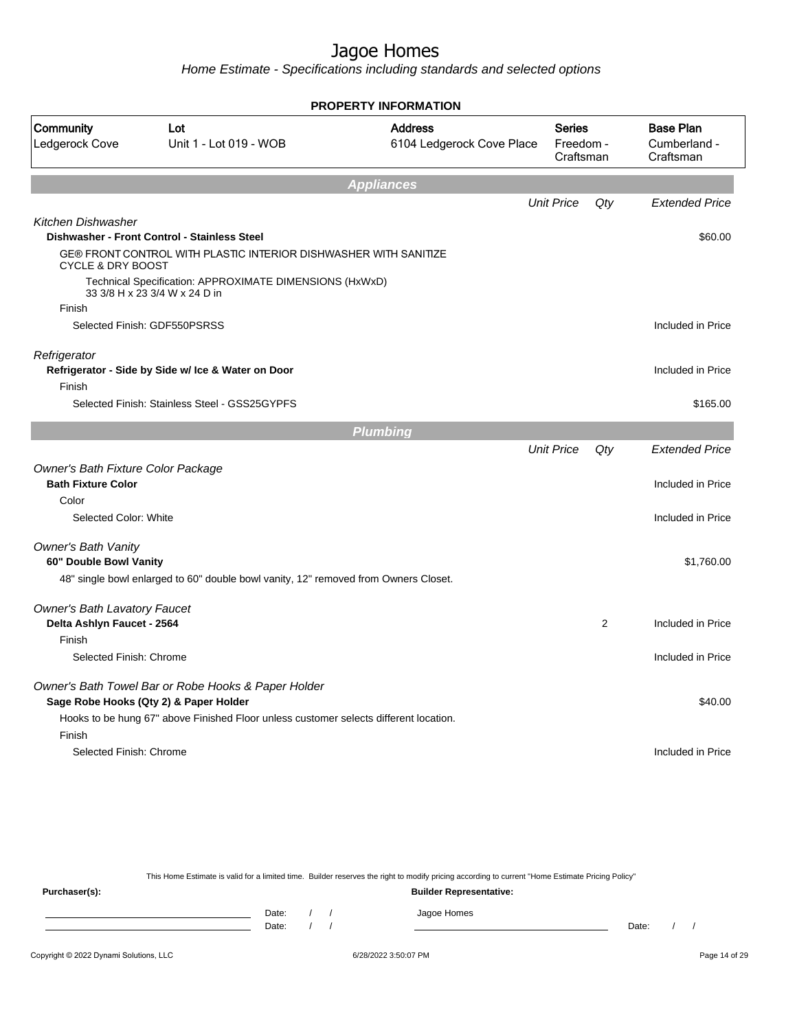Home Estimate - Specifications including standards and selected options

| <b>PROPERTY INFORMATION</b>         |                                                                                               |                                             |                                         |                |                                               |  |
|-------------------------------------|-----------------------------------------------------------------------------------------------|---------------------------------------------|-----------------------------------------|----------------|-----------------------------------------------|--|
| Community<br>Ledgerock Cove         | Lot<br>Unit 1 - Lot 019 - WOB                                                                 | <b>Address</b><br>6104 Ledgerock Cove Place | <b>Series</b><br>Freedom -<br>Craftsman |                | <b>Base Plan</b><br>Cumberland -<br>Craftsman |  |
|                                     |                                                                                               | <b>Appliances</b>                           |                                         |                |                                               |  |
|                                     |                                                                                               |                                             | <b>Unit Price</b>                       | Qty            | <b>Extended Price</b>                         |  |
| <b>Kitchen Dishwasher</b>           | Dishwasher - Front Control - Stainless Steel                                                  |                                             |                                         |                | \$60.00                                       |  |
| <b>CYCLE &amp; DRY BOOST</b>        | GE® FRONT CONTROL WITH PLASTIC INTERIOR DISHWASHER WITH SANITIZE                              |                                             |                                         |                |                                               |  |
|                                     | Technical Specification: APPROXIMATE DIMENSIONS (HxWxD)<br>33 3/8 H x 23 3/4 W x 24 D in      |                                             |                                         |                |                                               |  |
| Finish                              |                                                                                               |                                             |                                         |                |                                               |  |
|                                     | Selected Finish: GDF550PSRSS                                                                  |                                             |                                         |                | Included in Price                             |  |
| Refrigerator<br>Finish              | Refrigerator - Side by Side w/ Ice & Water on Door                                            |                                             |                                         |                | Included in Price                             |  |
|                                     | Selected Finish: Stainless Steel - GSS25GYPFS                                                 |                                             |                                         |                | \$165.00                                      |  |
|                                     |                                                                                               |                                             |                                         |                |                                               |  |
|                                     |                                                                                               | <b>Plumbing</b>                             | <b>Unit Price</b>                       | Qty            | <b>Extended Price</b>                         |  |
| Owner's Bath Fixture Color Package  |                                                                                               |                                             |                                         |                |                                               |  |
| <b>Bath Fixture Color</b>           |                                                                                               |                                             |                                         |                | Included in Price                             |  |
| Color                               |                                                                                               |                                             |                                         |                |                                               |  |
| Selected Color: White               |                                                                                               |                                             |                                         |                | Included in Price                             |  |
| <b>Owner's Bath Vanity</b>          |                                                                                               |                                             |                                         |                |                                               |  |
| 60" Double Bowl Vanity              |                                                                                               |                                             |                                         |                | \$1,760.00                                    |  |
|                                     | 48" single bowl enlarged to 60" double bowl vanity, 12" removed from Owners Closet.           |                                             |                                         |                |                                               |  |
| <b>Owner's Bath Lavatory Faucet</b> |                                                                                               |                                             |                                         |                |                                               |  |
| Delta Ashlyn Faucet - 2564          |                                                                                               |                                             |                                         | $\overline{2}$ | Included in Price                             |  |
| Finish                              |                                                                                               |                                             |                                         |                |                                               |  |
| Selected Finish: Chrome             |                                                                                               |                                             |                                         |                | Included in Price                             |  |
|                                     | Owner's Bath Towel Bar or Robe Hooks & Paper Holder<br>Sage Robe Hooks (Qty 2) & Paper Holder |                                             |                                         |                | \$40.00                                       |  |
| Finish                              | Hooks to be hung 67" above Finished Floor unless customer selects different location.         |                                             |                                         |                |                                               |  |
| Selected Finish: Chrome             |                                                                                               |                                             |                                         |                | Included in Price                             |  |
|                                     |                                                                                               |                                             |                                         |                |                                               |  |

This Home Estimate is valid for a limited time. Builder reserves the right to modify pricing according to current "Home Estimate Pricing Policy" **Purchaser(s): Builder Representative:** Date: / / Jagoe Homes<br>Date: / / Jagoe Homes Date: / / **Date: / / 2006** Date: / / / Date: / / /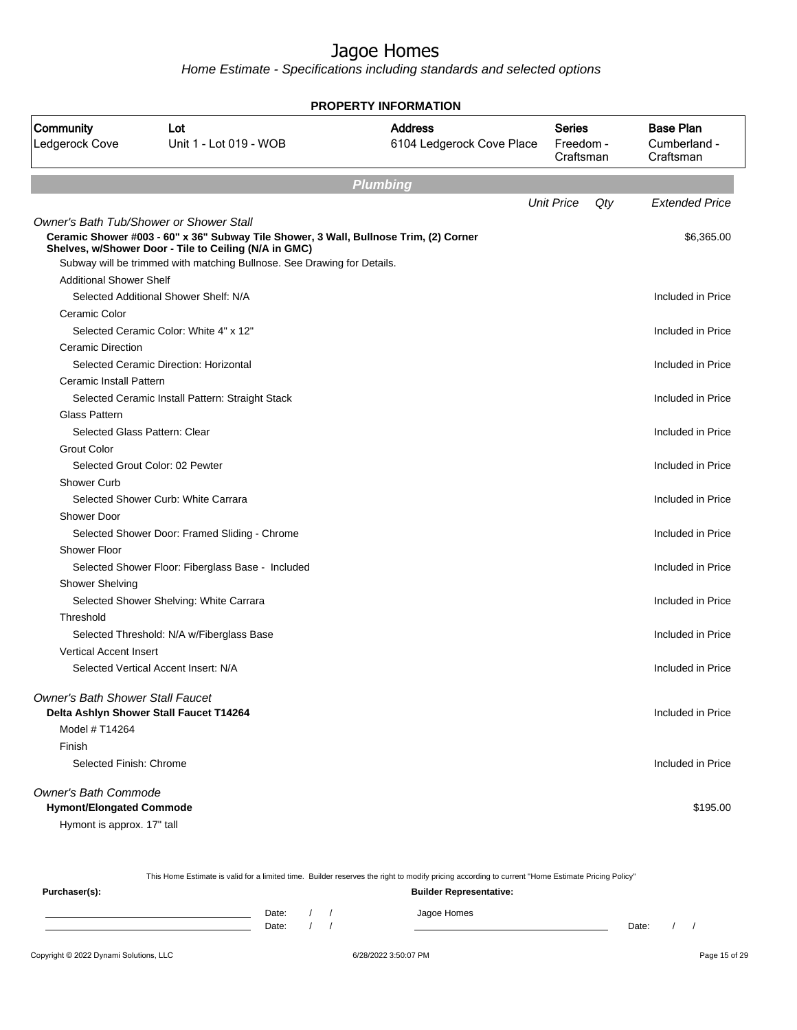| <b>PROPERTY INFORMATION</b>                    |                                                                                                                                  |                                             |                                         |                                               |  |  |  |
|------------------------------------------------|----------------------------------------------------------------------------------------------------------------------------------|---------------------------------------------|-----------------------------------------|-----------------------------------------------|--|--|--|
| Community<br>Ledgerock Cove                    | Lot<br>Unit 1 - Lot 019 - WOB                                                                                                    | <b>Address</b><br>6104 Ledgerock Cove Place | <b>Series</b><br>Freedom -<br>Craftsman | <b>Base Plan</b><br>Cumberland -<br>Craftsman |  |  |  |
|                                                |                                                                                                                                  | <b>Plumbing</b>                             |                                         |                                               |  |  |  |
|                                                |                                                                                                                                  |                                             | <b>Unit Price</b><br>Qty                | <b>Extended Price</b>                         |  |  |  |
| <b>Owner's Bath Tub/Shower or Shower Stall</b> |                                                                                                                                  |                                             |                                         |                                               |  |  |  |
|                                                | Ceramic Shower #003 - 60" x 36" Subway Tile Shower, 3 Wall, Bullnose Trim, (2) Corner                                            |                                             |                                         | \$6,365.00                                    |  |  |  |
|                                                | Shelves, w/Shower Door - Tile to Ceiling (N/A in GMC)<br>Subway will be trimmed with matching Bullnose. See Drawing for Details. |                                             |                                         |                                               |  |  |  |
| <b>Additional Shower Shelf</b>                 |                                                                                                                                  |                                             |                                         |                                               |  |  |  |
|                                                | Selected Additional Shower Shelf: N/A                                                                                            |                                             |                                         | Included in Price                             |  |  |  |
| Ceramic Color                                  |                                                                                                                                  |                                             |                                         |                                               |  |  |  |
|                                                | Selected Ceramic Color: White 4" x 12"                                                                                           |                                             |                                         | Included in Price                             |  |  |  |
| <b>Ceramic Direction</b>                       |                                                                                                                                  |                                             |                                         |                                               |  |  |  |
|                                                | Selected Ceramic Direction: Horizontal                                                                                           |                                             |                                         | Included in Price                             |  |  |  |
| Ceramic Install Pattern                        |                                                                                                                                  |                                             |                                         |                                               |  |  |  |
|                                                | Selected Ceramic Install Pattern: Straight Stack                                                                                 |                                             |                                         | Included in Price                             |  |  |  |
| <b>Glass Pattern</b>                           |                                                                                                                                  |                                             |                                         |                                               |  |  |  |
| Selected Glass Pattern: Clear                  |                                                                                                                                  |                                             |                                         | Included in Price                             |  |  |  |
| <b>Grout Color</b>                             |                                                                                                                                  |                                             |                                         |                                               |  |  |  |
|                                                | Selected Grout Color: 02 Pewter                                                                                                  |                                             |                                         | Included in Price                             |  |  |  |
| Shower Curb                                    |                                                                                                                                  |                                             |                                         |                                               |  |  |  |
|                                                | Selected Shower Curb: White Carrara                                                                                              |                                             |                                         | Included in Price                             |  |  |  |
| Shower Door                                    |                                                                                                                                  |                                             |                                         |                                               |  |  |  |
|                                                | Selected Shower Door: Framed Sliding - Chrome                                                                                    |                                             |                                         | Included in Price                             |  |  |  |
| <b>Shower Floor</b>                            |                                                                                                                                  |                                             |                                         |                                               |  |  |  |
|                                                | Selected Shower Floor: Fiberglass Base - Included                                                                                |                                             |                                         | Included in Price                             |  |  |  |
| <b>Shower Shelving</b>                         |                                                                                                                                  |                                             |                                         |                                               |  |  |  |
|                                                | Selected Shower Shelving: White Carrara                                                                                          |                                             |                                         | Included in Price                             |  |  |  |
| Threshold                                      |                                                                                                                                  |                                             |                                         |                                               |  |  |  |
|                                                | Selected Threshold: N/A w/Fiberglass Base                                                                                        |                                             |                                         | Included in Price                             |  |  |  |
| <b>Vertical Accent Insert</b>                  |                                                                                                                                  |                                             |                                         |                                               |  |  |  |
|                                                | Selected Vertical Accent Insert: N/A                                                                                             |                                             |                                         | Included in Price                             |  |  |  |
| <b>Owner's Bath Shower Stall Faucet</b>        |                                                                                                                                  |                                             |                                         |                                               |  |  |  |
|                                                | Delta Ashlyn Shower Stall Faucet T14264                                                                                          |                                             |                                         | Included in Price                             |  |  |  |
| Model # T14264                                 |                                                                                                                                  |                                             |                                         |                                               |  |  |  |
| Finish                                         |                                                                                                                                  |                                             |                                         |                                               |  |  |  |
| Selected Finish: Chrome                        |                                                                                                                                  |                                             |                                         | Included in Price                             |  |  |  |
| Owner's Bath Commode                           |                                                                                                                                  |                                             |                                         |                                               |  |  |  |
| <b>Hymont/Elongated Commode</b>                |                                                                                                                                  |                                             |                                         | \$195.00                                      |  |  |  |
| Hymont is approx. 17" tall                     |                                                                                                                                  |                                             |                                         |                                               |  |  |  |

| This Home Estimate is valid for a limited time. Builder reserves the right to modify pricing according to current "Home Estimate Pricing Policy" |       |  |  |                                |       |  |  |
|--------------------------------------------------------------------------------------------------------------------------------------------------|-------|--|--|--------------------------------|-------|--|--|
| Purchaser(s):                                                                                                                                    |       |  |  | <b>Builder Representative:</b> |       |  |  |
|                                                                                                                                                  | Date: |  |  | Jagoe Homes                    |       |  |  |
|                                                                                                                                                  | Date: |  |  |                                | Date: |  |  |
|                                                                                                                                                  |       |  |  |                                |       |  |  |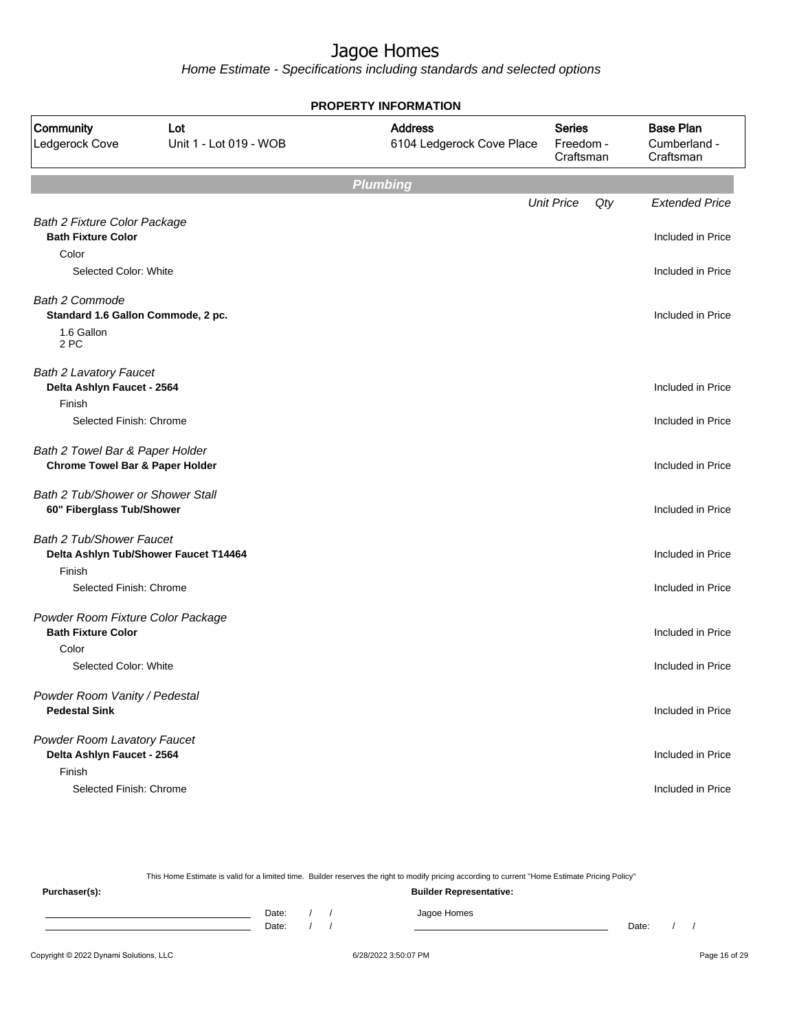Home Estimate - Specifications including standards and selected options

| <b>PROPERTY INFORMATION</b>                                                   |                                       |                                             |                                         |                                               |  |  |  |
|-------------------------------------------------------------------------------|---------------------------------------|---------------------------------------------|-----------------------------------------|-----------------------------------------------|--|--|--|
| Community<br>Ledgerock Cove                                                   | Lot<br>Unit 1 - Lot 019 - WOB         | <b>Address</b><br>6104 Ledgerock Cove Place | <b>Series</b><br>Freedom -<br>Craftsman | <b>Base Plan</b><br>Cumberland -<br>Craftsman |  |  |  |
|                                                                               |                                       | <b>Plumbing</b>                             |                                         |                                               |  |  |  |
|                                                                               |                                       |                                             | <b>Unit Price</b><br>Qty                | <b>Extended Price</b>                         |  |  |  |
| <b>Bath 2 Fixture Color Package</b><br><b>Bath Fixture Color</b>              |                                       |                                             |                                         | Included in Price                             |  |  |  |
| Color                                                                         |                                       |                                             |                                         |                                               |  |  |  |
| Selected Color: White                                                         |                                       |                                             |                                         | Included in Price                             |  |  |  |
| <b>Bath 2 Commode</b><br>Standard 1.6 Gallon Commode, 2 pc.                   |                                       |                                             |                                         | Included in Price                             |  |  |  |
| 1.6 Gallon<br>2 PC                                                            |                                       |                                             |                                         |                                               |  |  |  |
| <b>Bath 2 Lavatory Faucet</b><br>Delta Ashlyn Faucet - 2564                   |                                       |                                             |                                         | Included in Price                             |  |  |  |
| Finish                                                                        |                                       |                                             |                                         |                                               |  |  |  |
| Selected Finish: Chrome                                                       |                                       |                                             |                                         | Included in Price                             |  |  |  |
| Bath 2 Towel Bar & Paper Holder<br><b>Chrome Towel Bar &amp; Paper Holder</b> |                                       |                                             |                                         | Included in Price                             |  |  |  |
| Bath 2 Tub/Shower or Shower Stall<br>60" Fiberglass Tub/Shower                |                                       |                                             |                                         | Included in Price                             |  |  |  |
| <b>Bath 2 Tub/Shower Faucet</b>                                               |                                       |                                             |                                         |                                               |  |  |  |
| Finish                                                                        | Delta Ashlyn Tub/Shower Faucet T14464 |                                             |                                         | Included in Price                             |  |  |  |
| Selected Finish: Chrome                                                       |                                       |                                             |                                         | Included in Price                             |  |  |  |
| Powder Room Fixture Color Package<br><b>Bath Fixture Color</b>                |                                       |                                             |                                         | Included in Price                             |  |  |  |
| Color                                                                         |                                       |                                             |                                         |                                               |  |  |  |
| Selected Color: White                                                         |                                       |                                             |                                         | Included in Price                             |  |  |  |
| Powder Room Vanity / Pedestal<br><b>Pedestal Sink</b>                         |                                       |                                             |                                         | Included in Price                             |  |  |  |
| Powder Room Lavatory Faucet<br>Delta Ashlyn Faucet - 2564                     |                                       |                                             |                                         | Included in Price                             |  |  |  |
| Finish<br>Selected Finish: Chrome                                             |                                       |                                             |                                         | Included in Price                             |  |  |  |

This Home Estimate is valid for a limited time. Builder reserves the right to modify pricing according to current "Home Estimate Pricing Policy" **Purchaser(s): Builder Representative:** Date: / / Jagoe Homes<br>Date: / / Jagoe Homes Date: / / **Date: / / 2006** Date: / / / Date: / / /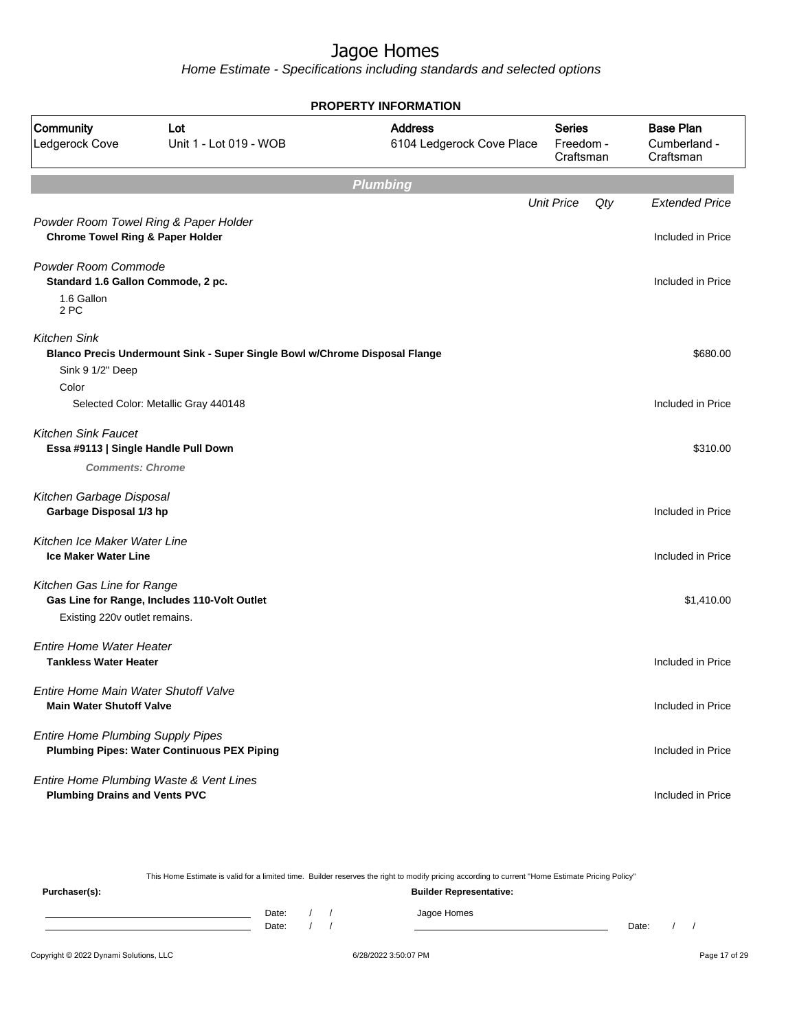Home Estimate - Specifications including standards and selected options

| <b>PROPERTY INFORMATION</b>                                                          |                                                                            |                                             |                                         |                                               |  |  |  |
|--------------------------------------------------------------------------------------|----------------------------------------------------------------------------|---------------------------------------------|-----------------------------------------|-----------------------------------------------|--|--|--|
| Community<br>Ledgerock Cove                                                          | Lot<br>Unit 1 - Lot 019 - WOB                                              | <b>Address</b><br>6104 Ledgerock Cove Place | <b>Series</b><br>Freedom -<br>Craftsman | <b>Base Plan</b><br>Cumberland -<br>Craftsman |  |  |  |
|                                                                                      |                                                                            | <b>Plumbing</b>                             |                                         |                                               |  |  |  |
| Powder Room Towel Ring & Paper Holder<br><b>Chrome Towel Ring &amp; Paper Holder</b> |                                                                            |                                             | <b>Unit Price</b><br>Qty                | <b>Extended Price</b><br>Included in Price    |  |  |  |
| Powder Room Commode<br>Standard 1.6 Gallon Commode, 2 pc.<br>1.6 Gallon<br>2 PC      |                                                                            |                                             |                                         | Included in Price                             |  |  |  |
| <b>Kitchen Sink</b><br>Sink 9 1/2" Deep<br>Color                                     | Blanco Precis Undermount Sink - Super Single Bowl w/Chrome Disposal Flange |                                             |                                         | \$680.00                                      |  |  |  |
|                                                                                      | Selected Color: Metallic Gray 440148                                       |                                             |                                         | Included in Price                             |  |  |  |
| <b>Kitchen Sink Faucet</b><br>Essa #9113   Single Handle Pull Down                   |                                                                            |                                             |                                         | \$310.00                                      |  |  |  |
| <b>Comments: Chrome</b>                                                              |                                                                            |                                             |                                         |                                               |  |  |  |
| Kitchen Garbage Disposal<br>Garbage Disposal 1/3 hp                                  |                                                                            |                                             |                                         | Included in Price                             |  |  |  |
| Kitchen Ice Maker Water Line<br><b>Ice Maker Water Line</b>                          |                                                                            |                                             |                                         | Included in Price                             |  |  |  |
| Kitchen Gas Line for Range<br>Existing 220v outlet remains.                          | Gas Line for Range, Includes 110-Volt Outlet                               |                                             |                                         | \$1,410.00                                    |  |  |  |
| <b>Entire Home Water Heater</b><br><b>Tankless Water Heater</b>                      |                                                                            |                                             |                                         | Included in Price                             |  |  |  |
| Entire Home Main Water Shutoff Valve<br><b>Main Water Shutoff Valve</b>              |                                                                            |                                             |                                         | Included in Price                             |  |  |  |
| <b>Entire Home Plumbing Supply Pipes</b>                                             | <b>Plumbing Pipes: Water Continuous PEX Piping</b>                         |                                             |                                         | Included in Price                             |  |  |  |
| Entire Home Plumbing Waste & Vent Lines<br><b>Plumbing Drains and Vents PVC</b>      |                                                                            |                                             |                                         | Included in Price                             |  |  |  |

This Home Estimate is valid for a limited time. Builder reserves the right to modify pricing according to current "Home Estimate Pricing Policy"

**Purchaser(s): Builder Representative:** Date: / / Jagoe Homes<br>Date: / / Jagoe Homes Date: / / **Date: / / 2006** Date: / / / Date: / / /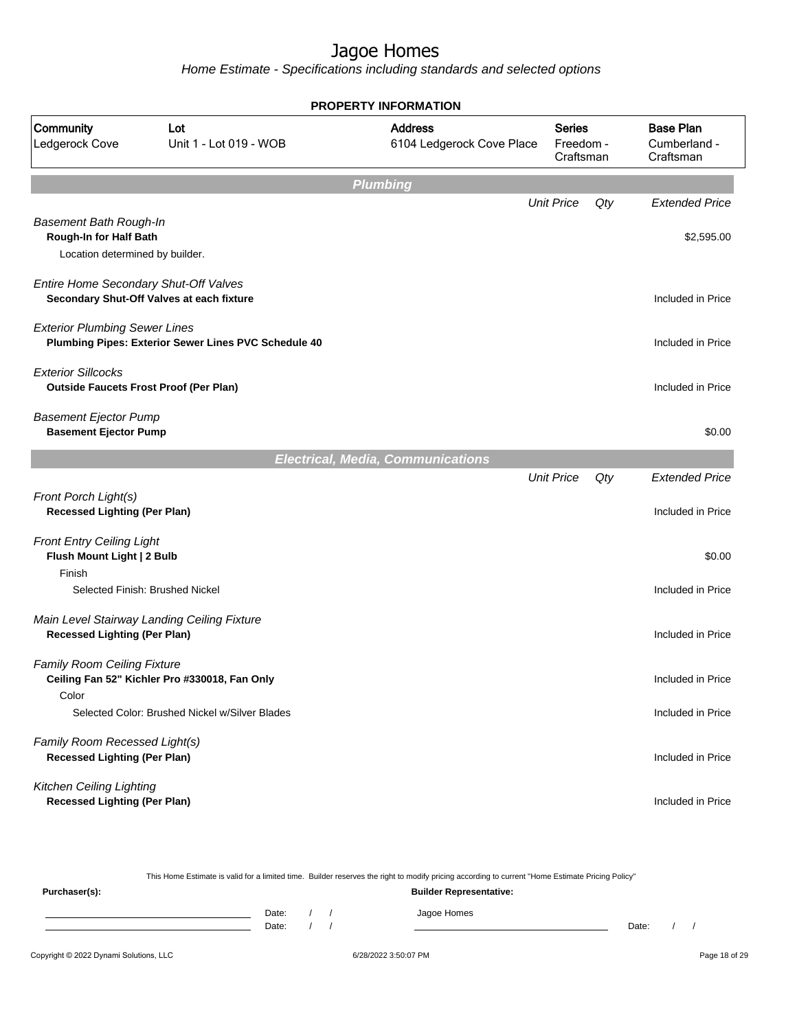| <b>Base Plan</b><br>Community<br><b>Address</b><br><b>Series</b><br>Lot<br>Cumberland -<br>Ledgerock Cove<br>Unit 1 - Lot 019 - WOB<br>6104 Ledgerock Cove Place<br>Freedom -<br>Craftsman<br>Craftsman<br><b>Plumbing</b><br><b>Unit Price</b><br>Qty<br><b>Extended Price</b><br><b>Basement Bath Rough-In</b><br>Rough-In for Half Bath<br>\$2,595.00<br>Location determined by builder.<br>Entire Home Secondary Shut-Off Valves<br>Secondary Shut-Off Valves at each fixture<br>Included in Price<br><b>Exterior Plumbing Sewer Lines</b><br>Plumbing Pipes: Exterior Sewer Lines PVC Schedule 40<br>Included in Price<br><b>Exterior Sillcocks</b><br><b>Outside Faucets Frost Proof (Per Plan)</b><br>Included in Price<br><b>Basement Ejector Pump</b><br><b>Basement Ejector Pump</b><br>\$0.00<br><b>Electrical, Media, Communications</b><br><b>Unit Price</b><br>Qty<br><b>Extended Price</b><br>Front Porch Light(s)<br><b>Recessed Lighting (Per Plan)</b><br>Included in Price<br><b>Front Entry Ceiling Light</b><br>Flush Mount Light   2 Bulb<br>\$0.00<br>Finish<br>Selected Finish: Brushed Nickel<br>Included in Price<br>Main Level Stairway Landing Ceiling Fixture<br><b>Recessed Lighting (Per Plan)</b><br>Included in Price<br><b>Family Room Ceiling Fixture</b><br>Ceiling Fan 52" Kichler Pro #330018, Fan Only<br>Included in Price<br>Color<br>Selected Color: Brushed Nickel w/Silver Blades<br>Included in Price<br>Family Room Recessed Light(s)<br><b>Recessed Lighting (Per Plan)</b><br>Included in Price<br>Kitchen Ceiling Lighting<br><b>Recessed Lighting (Per Plan)</b><br>Included in Price |  | PROPERTY INFORMATION |  |  |
|-----------------------------------------------------------------------------------------------------------------------------------------------------------------------------------------------------------------------------------------------------------------------------------------------------------------------------------------------------------------------------------------------------------------------------------------------------------------------------------------------------------------------------------------------------------------------------------------------------------------------------------------------------------------------------------------------------------------------------------------------------------------------------------------------------------------------------------------------------------------------------------------------------------------------------------------------------------------------------------------------------------------------------------------------------------------------------------------------------------------------------------------------------------------------------------------------------------------------------------------------------------------------------------------------------------------------------------------------------------------------------------------------------------------------------------------------------------------------------------------------------------------------------------------------------------------------------------------------------------------------------------------|--|----------------------|--|--|
|                                                                                                                                                                                                                                                                                                                                                                                                                                                                                                                                                                                                                                                                                                                                                                                                                                                                                                                                                                                                                                                                                                                                                                                                                                                                                                                                                                                                                                                                                                                                                                                                                                         |  |                      |  |  |
|                                                                                                                                                                                                                                                                                                                                                                                                                                                                                                                                                                                                                                                                                                                                                                                                                                                                                                                                                                                                                                                                                                                                                                                                                                                                                                                                                                                                                                                                                                                                                                                                                                         |  |                      |  |  |
|                                                                                                                                                                                                                                                                                                                                                                                                                                                                                                                                                                                                                                                                                                                                                                                                                                                                                                                                                                                                                                                                                                                                                                                                                                                                                                                                                                                                                                                                                                                                                                                                                                         |  |                      |  |  |
|                                                                                                                                                                                                                                                                                                                                                                                                                                                                                                                                                                                                                                                                                                                                                                                                                                                                                                                                                                                                                                                                                                                                                                                                                                                                                                                                                                                                                                                                                                                                                                                                                                         |  |                      |  |  |
|                                                                                                                                                                                                                                                                                                                                                                                                                                                                                                                                                                                                                                                                                                                                                                                                                                                                                                                                                                                                                                                                                                                                                                                                                                                                                                                                                                                                                                                                                                                                                                                                                                         |  |                      |  |  |
|                                                                                                                                                                                                                                                                                                                                                                                                                                                                                                                                                                                                                                                                                                                                                                                                                                                                                                                                                                                                                                                                                                                                                                                                                                                                                                                                                                                                                                                                                                                                                                                                                                         |  |                      |  |  |
|                                                                                                                                                                                                                                                                                                                                                                                                                                                                                                                                                                                                                                                                                                                                                                                                                                                                                                                                                                                                                                                                                                                                                                                                                                                                                                                                                                                                                                                                                                                                                                                                                                         |  |                      |  |  |
|                                                                                                                                                                                                                                                                                                                                                                                                                                                                                                                                                                                                                                                                                                                                                                                                                                                                                                                                                                                                                                                                                                                                                                                                                                                                                                                                                                                                                                                                                                                                                                                                                                         |  |                      |  |  |
|                                                                                                                                                                                                                                                                                                                                                                                                                                                                                                                                                                                                                                                                                                                                                                                                                                                                                                                                                                                                                                                                                                                                                                                                                                                                                                                                                                                                                                                                                                                                                                                                                                         |  |                      |  |  |
|                                                                                                                                                                                                                                                                                                                                                                                                                                                                                                                                                                                                                                                                                                                                                                                                                                                                                                                                                                                                                                                                                                                                                                                                                                                                                                                                                                                                                                                                                                                                                                                                                                         |  |                      |  |  |
|                                                                                                                                                                                                                                                                                                                                                                                                                                                                                                                                                                                                                                                                                                                                                                                                                                                                                                                                                                                                                                                                                                                                                                                                                                                                                                                                                                                                                                                                                                                                                                                                                                         |  |                      |  |  |
|                                                                                                                                                                                                                                                                                                                                                                                                                                                                                                                                                                                                                                                                                                                                                                                                                                                                                                                                                                                                                                                                                                                                                                                                                                                                                                                                                                                                                                                                                                                                                                                                                                         |  |                      |  |  |
|                                                                                                                                                                                                                                                                                                                                                                                                                                                                                                                                                                                                                                                                                                                                                                                                                                                                                                                                                                                                                                                                                                                                                                                                                                                                                                                                                                                                                                                                                                                                                                                                                                         |  |                      |  |  |
|                                                                                                                                                                                                                                                                                                                                                                                                                                                                                                                                                                                                                                                                                                                                                                                                                                                                                                                                                                                                                                                                                                                                                                                                                                                                                                                                                                                                                                                                                                                                                                                                                                         |  |                      |  |  |
|                                                                                                                                                                                                                                                                                                                                                                                                                                                                                                                                                                                                                                                                                                                                                                                                                                                                                                                                                                                                                                                                                                                                                                                                                                                                                                                                                                                                                                                                                                                                                                                                                                         |  |                      |  |  |
|                                                                                                                                                                                                                                                                                                                                                                                                                                                                                                                                                                                                                                                                                                                                                                                                                                                                                                                                                                                                                                                                                                                                                                                                                                                                                                                                                                                                                                                                                                                                                                                                                                         |  |                      |  |  |
|                                                                                                                                                                                                                                                                                                                                                                                                                                                                                                                                                                                                                                                                                                                                                                                                                                                                                                                                                                                                                                                                                                                                                                                                                                                                                                                                                                                                                                                                                                                                                                                                                                         |  |                      |  |  |
|                                                                                                                                                                                                                                                                                                                                                                                                                                                                                                                                                                                                                                                                                                                                                                                                                                                                                                                                                                                                                                                                                                                                                                                                                                                                                                                                                                                                                                                                                                                                                                                                                                         |  |                      |  |  |

|               |       |  | This Home Estimate is valid for a limited time. Builder reserves the right to modify pricing according to current "Home Estimate Pricing Policy" |       |  |
|---------------|-------|--|--------------------------------------------------------------------------------------------------------------------------------------------------|-------|--|
| Purchaser(s): |       |  | <b>Builder Representative:</b>                                                                                                                   |       |  |
|               | Date: |  | Jagoe Homes                                                                                                                                      |       |  |
|               | Date: |  |                                                                                                                                                  | Date: |  |
|               |       |  |                                                                                                                                                  |       |  |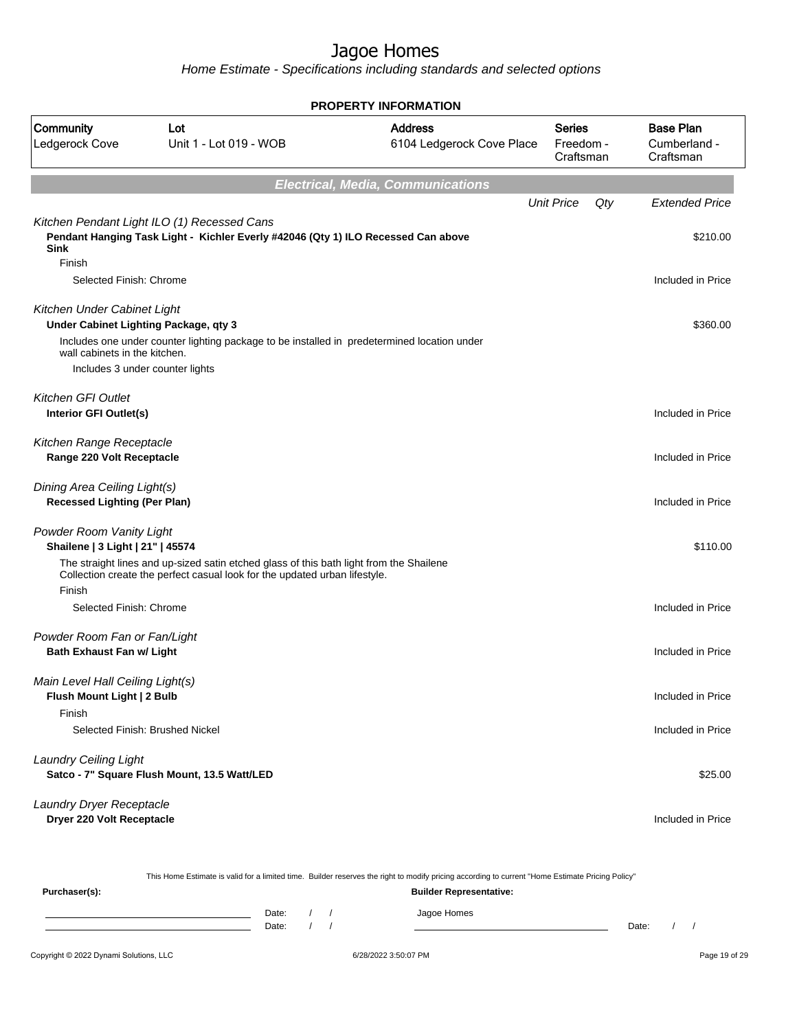Home Estimate - Specifications including standards and selected options

|                                                                      |                                                                                                                                                                       | <b>PROPERTY INFORMATION</b>                 |                                  |                                               |
|----------------------------------------------------------------------|-----------------------------------------------------------------------------------------------------------------------------------------------------------------------|---------------------------------------------|----------------------------------|-----------------------------------------------|
| Community<br>Ledgerock Cove                                          | Lot<br>Unit 1 - Lot 019 - WOB                                                                                                                                         | <b>Address</b><br>6104 Ledgerock Cove Place | Series<br>Freedom -<br>Craftsman | <b>Base Plan</b><br>Cumberland -<br>Craftsman |
|                                                                      |                                                                                                                                                                       | <b>Electrical, Media, Communications</b>    |                                  |                                               |
|                                                                      |                                                                                                                                                                       |                                             | <b>Unit Price</b><br>Qty         | <b>Extended Price</b>                         |
| <b>Sink</b><br>Finish                                                | Kitchen Pendant Light ILO (1) Recessed Cans<br>Pendant Hanging Task Light - Kichler Everly #42046 (Qty 1) ILO Recessed Can above                                      |                                             |                                  | \$210.00                                      |
| Selected Finish: Chrome                                              |                                                                                                                                                                       |                                             |                                  | Included in Price                             |
| Kitchen Under Cabinet Light<br>Under Cabinet Lighting Package, qty 3 |                                                                                                                                                                       |                                             |                                  | \$360.00                                      |
| wall cabinets in the kitchen.<br>Includes 3 under counter lights     | Includes one under counter lighting package to be installed in predetermined location under                                                                           |                                             |                                  |                                               |
| <b>Kitchen GFI Outlet</b><br>Interior GFI Outlet(s)                  |                                                                                                                                                                       |                                             |                                  | Included in Price                             |
| Kitchen Range Receptacle<br>Range 220 Volt Receptacle                |                                                                                                                                                                       |                                             |                                  | Included in Price                             |
| Dining Area Ceiling Light(s)<br><b>Recessed Lighting (Per Plan)</b>  |                                                                                                                                                                       |                                             |                                  | Included in Price                             |
| Powder Room Vanity Light<br>Shailene   3 Light   21"   45574         |                                                                                                                                                                       |                                             |                                  | \$110.00                                      |
| Finish                                                               | The straight lines and up-sized satin etched glass of this bath light from the Shailene<br>Collection create the perfect casual look for the updated urban lifestyle. |                                             |                                  |                                               |
| Selected Finish: Chrome                                              |                                                                                                                                                                       |                                             |                                  | Included in Price                             |
| Powder Room Fan or Fan/Light<br>Bath Exhaust Fan w/ Light            |                                                                                                                                                                       |                                             |                                  | Included in Price                             |
| Main Level Hall Ceiling Light(s)<br>Flush Mount Light   2 Bulb       |                                                                                                                                                                       |                                             |                                  | Included in Price                             |
| Finish                                                               | Selected Finish: Brushed Nickel                                                                                                                                       |                                             |                                  | Included in Price                             |
| <b>Laundry Ceiling Light</b>                                         | Satco - 7" Square Flush Mount, 13.5 Watt/LED                                                                                                                          |                                             |                                  | \$25.00                                       |
| Laundry Dryer Receptacle<br>Dryer 220 Volt Receptacle                |                                                                                                                                                                       |                                             |                                  | Included in Price                             |

This Home Estimate is valid for a limited time. Builder reserves the right to modify pricing according to current "Home Estimate Pricing Policy"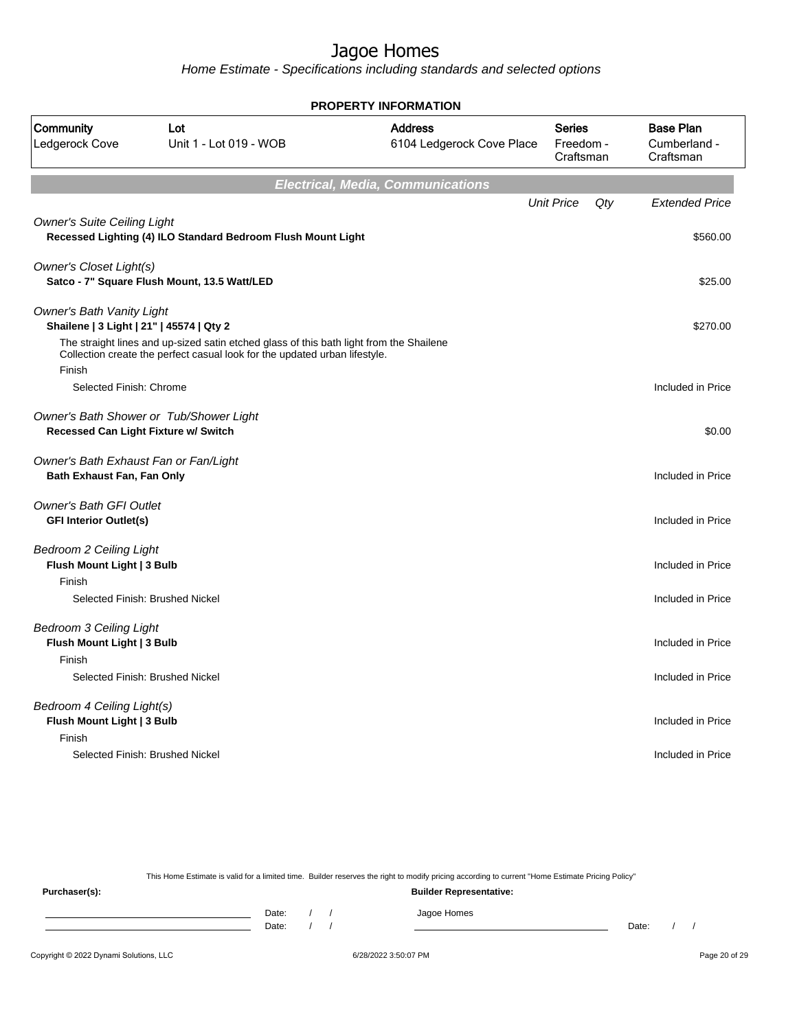Home Estimate - Specifications including standards and selected options

|                                                                              |                                                                                                                                                                       | <b>PROPERTY INFORMATION</b>                 |                                  |                                               |
|------------------------------------------------------------------------------|-----------------------------------------------------------------------------------------------------------------------------------------------------------------------|---------------------------------------------|----------------------------------|-----------------------------------------------|
| Community<br>Ledgerock Cove                                                  | Lot<br>Unit 1 - Lot 019 - WOB                                                                                                                                         | <b>Address</b><br>6104 Ledgerock Cove Place | Series<br>Freedom -<br>Craftsman | <b>Base Plan</b><br>Cumberland -<br>Craftsman |
|                                                                              |                                                                                                                                                                       | Electrical, Media, Communications           |                                  |                                               |
|                                                                              |                                                                                                                                                                       |                                             | <b>Unit Price</b><br>Qty         | <b>Extended Price</b>                         |
| <b>Owner's Suite Ceiling Light</b>                                           | Recessed Lighting (4) ILO Standard Bedroom Flush Mount Light                                                                                                          |                                             |                                  | \$560.00                                      |
| Owner's Closet Light(s)                                                      | Satco - 7" Square Flush Mount, 13.5 Watt/LED                                                                                                                          |                                             |                                  | \$25.00                                       |
| <b>Owner's Bath Vanity Light</b><br>Shailene   3 Light   21"   45574   Qty 2 |                                                                                                                                                                       |                                             |                                  | \$270.00                                      |
| Finish                                                                       | The straight lines and up-sized satin etched glass of this bath light from the Shailene<br>Collection create the perfect casual look for the updated urban lifestyle. |                                             |                                  |                                               |
| Selected Finish: Chrome                                                      |                                                                                                                                                                       |                                             |                                  | Included in Price                             |
| Recessed Can Light Fixture w/ Switch                                         | Owner's Bath Shower or Tub/Shower Light                                                                                                                               |                                             |                                  | \$0.00                                        |
| Owner's Bath Exhaust Fan or Fan/Light<br>Bath Exhaust Fan, Fan Only          |                                                                                                                                                                       |                                             |                                  | Included in Price                             |
| <b>Owner's Bath GFI Outlet</b><br><b>GFI Interior Outlet(s)</b>              |                                                                                                                                                                       |                                             |                                  | Included in Price                             |
| <b>Bedroom 2 Ceiling Light</b><br>Flush Mount Light   3 Bulb                 |                                                                                                                                                                       |                                             |                                  | Included in Price                             |
| Finish                                                                       | Selected Finish: Brushed Nickel                                                                                                                                       |                                             |                                  | Included in Price                             |
| Bedroom 3 Ceiling Light<br>Flush Mount Light   3 Bulb                        |                                                                                                                                                                       |                                             |                                  | Included in Price                             |
| Finish                                                                       | Selected Finish: Brushed Nickel                                                                                                                                       |                                             |                                  | Included in Price                             |
| Bedroom 4 Ceiling Light(s)<br>Flush Mount Light   3 Bulb<br>Finish           |                                                                                                                                                                       |                                             |                                  | Included in Price                             |
|                                                                              | Selected Finish: Brushed Nickel                                                                                                                                       |                                             |                                  | Included in Price                             |

This Home Estimate is valid for a limited time. Builder reserves the right to modify pricing according to current "Home Estimate Pricing Policy"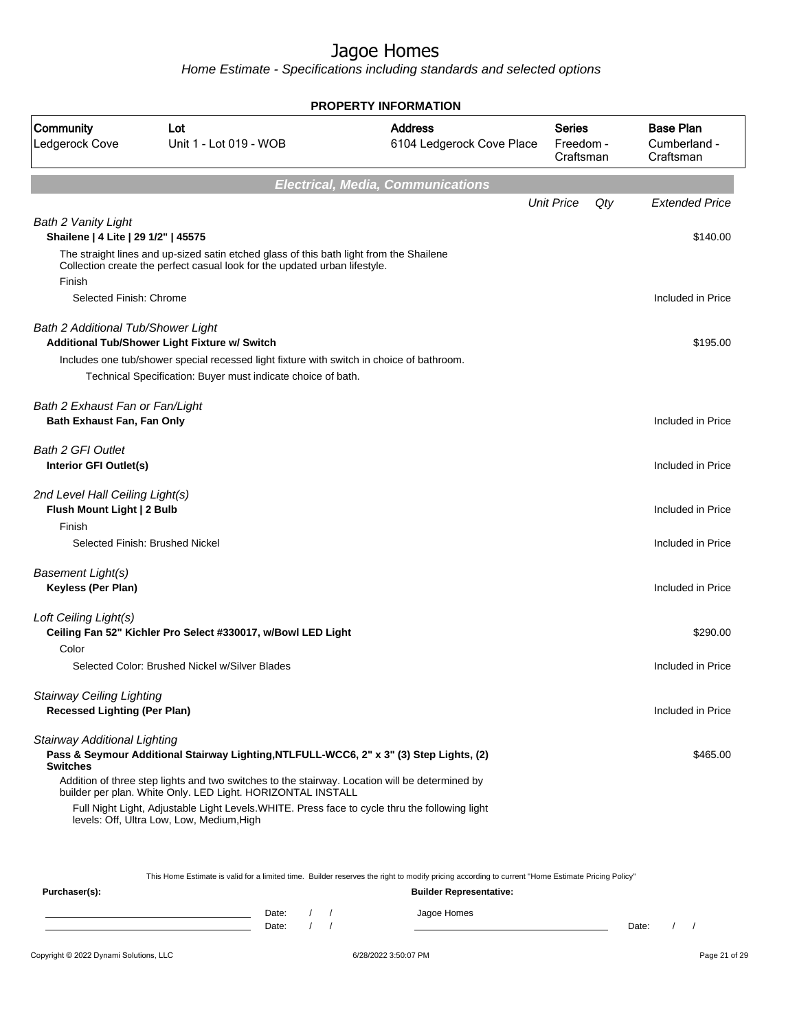| <b>PROPERTY INFORMATION</b>                                             |                                                                                                                                                                       |                                             |                                         |                                               |  |  |  |
|-------------------------------------------------------------------------|-----------------------------------------------------------------------------------------------------------------------------------------------------------------------|---------------------------------------------|-----------------------------------------|-----------------------------------------------|--|--|--|
| Community<br>Ledgerock Cove                                             | Lot<br>Unit 1 - Lot 019 - WOB                                                                                                                                         | <b>Address</b><br>6104 Ledgerock Cove Place | <b>Series</b><br>Freedom -<br>Craftsman | <b>Base Plan</b><br>Cumberland -<br>Craftsman |  |  |  |
|                                                                         |                                                                                                                                                                       | <b>Electrical, Media, Communications</b>    |                                         |                                               |  |  |  |
|                                                                         |                                                                                                                                                                       |                                             | <b>Unit Price</b><br>Qty                | <b>Extended Price</b>                         |  |  |  |
| Bath 2 Vanity Light<br>Shailene   4 Lite   29 1/2"   45575              |                                                                                                                                                                       |                                             |                                         | \$140.00                                      |  |  |  |
| Finish                                                                  | The straight lines and up-sized satin etched glass of this bath light from the Shailene<br>Collection create the perfect casual look for the updated urban lifestyle. |                                             |                                         |                                               |  |  |  |
| Selected Finish: Chrome                                                 |                                                                                                                                                                       |                                             |                                         | Included in Price                             |  |  |  |
| Bath 2 Additional Tub/Shower Light                                      | Additional Tub/Shower Light Fixture w/ Switch                                                                                                                         |                                             |                                         | \$195.00                                      |  |  |  |
|                                                                         | Includes one tub/shower special recessed light fixture with switch in choice of bathroom.<br>Technical Specification: Buyer must indicate choice of bath.             |                                             |                                         |                                               |  |  |  |
| Bath 2 Exhaust Fan or Fan/Light<br>Bath Exhaust Fan, Fan Only           |                                                                                                                                                                       |                                             |                                         | Included in Price                             |  |  |  |
| <b>Bath 2 GFI Outlet</b><br>Interior GFI Outlet(s)                      |                                                                                                                                                                       |                                             |                                         | Included in Price                             |  |  |  |
| 2nd Level Hall Ceiling Light(s)<br>Flush Mount Light   2 Bulb           |                                                                                                                                                                       |                                             |                                         | Included in Price                             |  |  |  |
| Finish                                                                  | Selected Finish: Brushed Nickel                                                                                                                                       |                                             |                                         | Included in Price                             |  |  |  |
| <b>Basement Light(s)</b><br>Keyless (Per Plan)                          |                                                                                                                                                                       |                                             |                                         | Included in Price                             |  |  |  |
| Loft Ceiling Light(s)                                                   | Ceiling Fan 52" Kichler Pro Select #330017, w/Bowl LED Light                                                                                                          |                                             |                                         | \$290.00                                      |  |  |  |
| Color                                                                   | Selected Color: Brushed Nickel w/Silver Blades                                                                                                                        |                                             |                                         | Included in Price                             |  |  |  |
| <b>Stairway Ceiling Lighting</b><br><b>Recessed Lighting (Per Plan)</b> |                                                                                                                                                                       |                                             |                                         | Included in Price                             |  |  |  |
| Stairway Additional Lighting<br><b>Switches</b>                         | Pass & Seymour Additional Stairway Lighting, NTLFULL-WCC6, 2" x 3" (3) Step Lights, (2)                                                                               |                                             |                                         | \$465.00                                      |  |  |  |
|                                                                         | Addition of three step lights and two switches to the stairway. Location will be determined by<br>builder per plan. White Only. LED Light. HORIZONTAL INSTALL         |                                             |                                         |                                               |  |  |  |
|                                                                         | Full Night Light, Adjustable Light Levels. WHITE. Press face to cycle thru the following light<br>levels: Off, Ultra Low, Low, Medium, High                           |                                             |                                         |                                               |  |  |  |

|               | This Home Estimate is valid for a limited time. Builder reserves the right to modify pricing according to current "Home Estimate Pricing Policy" |
|---------------|--------------------------------------------------------------------------------------------------------------------------------------------------|
| Purchaser(s): | <b>Builder Representative:</b>                                                                                                                   |

| Date: |  | Homes<br>0.000 |       |  |
|-------|--|----------------|-------|--|
| Date: |  |                | Date: |  |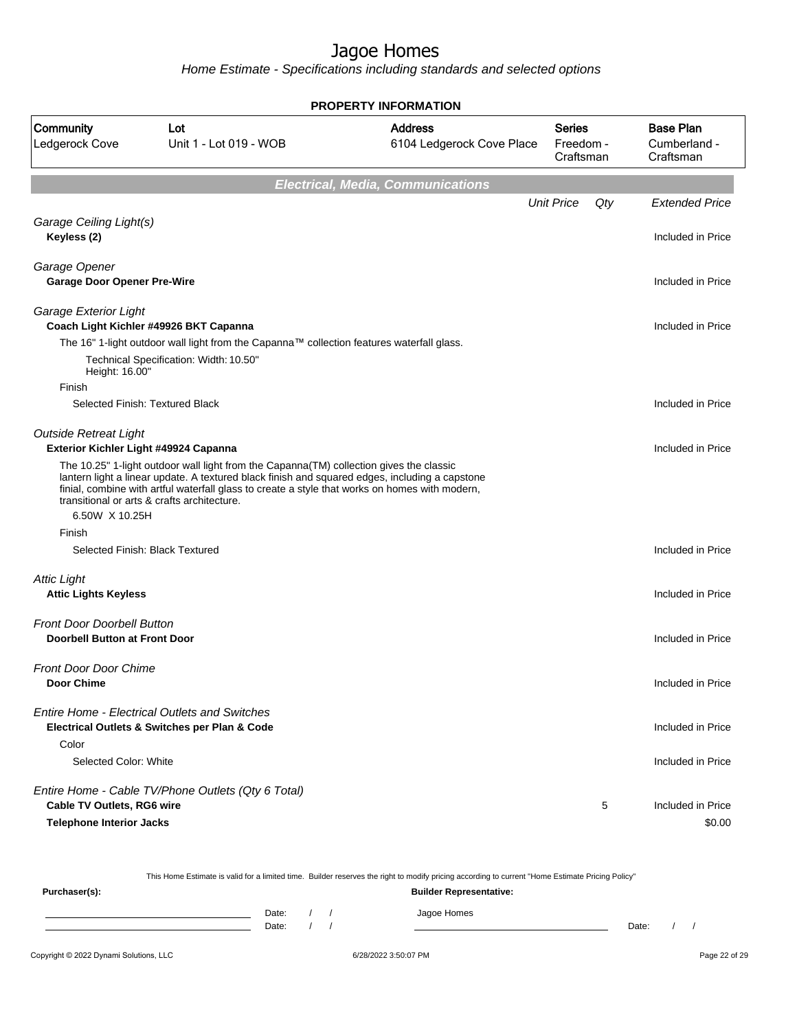|                                                                           |                                                                                                                                                                                                                                                                                                                                            | <b>PROPERTY INFORMATION</b>                 |                                         |                                               |
|---------------------------------------------------------------------------|--------------------------------------------------------------------------------------------------------------------------------------------------------------------------------------------------------------------------------------------------------------------------------------------------------------------------------------------|---------------------------------------------|-----------------------------------------|-----------------------------------------------|
| Community<br>Ledgerock Cove                                               | Lot<br>Unit 1 - Lot 019 - WOB                                                                                                                                                                                                                                                                                                              | <b>Address</b><br>6104 Ledgerock Cove Place | <b>Series</b><br>Freedom -<br>Craftsman | <b>Base Plan</b><br>Cumberland -<br>Craftsman |
|                                                                           |                                                                                                                                                                                                                                                                                                                                            | <b>Electrical, Media, Communications</b>    |                                         |                                               |
|                                                                           |                                                                                                                                                                                                                                                                                                                                            |                                             | <b>Unit Price</b><br>Qty                | <b>Extended Price</b>                         |
| Garage Ceiling Light(s)<br>Keyless (2)                                    |                                                                                                                                                                                                                                                                                                                                            |                                             |                                         | Included in Price                             |
| Garage Opener<br><b>Garage Door Opener Pre-Wire</b>                       |                                                                                                                                                                                                                                                                                                                                            |                                             |                                         | Included in Price                             |
| Garage Exterior Light                                                     | Coach Light Kichler #49926 BKT Capanna                                                                                                                                                                                                                                                                                                     |                                             |                                         | Included in Price                             |
|                                                                           | The 16" 1-light outdoor wall light from the Capanna™ collection features waterfall glass.                                                                                                                                                                                                                                                  |                                             |                                         |                                               |
| Height: 16.00"                                                            | Technical Specification: Width: 10.50"                                                                                                                                                                                                                                                                                                     |                                             |                                         |                                               |
| Finish                                                                    | Selected Finish: Textured Black                                                                                                                                                                                                                                                                                                            |                                             |                                         | Included in Price                             |
| <b>Outside Retreat Light</b>                                              | Exterior Kichler Light #49924 Capanna                                                                                                                                                                                                                                                                                                      |                                             |                                         | Included in Price                             |
|                                                                           | The 10.25" 1-light outdoor wall light from the Capanna(TM) collection gives the classic<br>lantern light a linear update. A textured black finish and squared edges, including a capstone<br>finial, combine with artful waterfall glass to create a style that works on homes with modern,<br>transitional or arts & crafts architecture. |                                             |                                         |                                               |
| 6.50W X 10.25H                                                            |                                                                                                                                                                                                                                                                                                                                            |                                             |                                         |                                               |
| Finish                                                                    |                                                                                                                                                                                                                                                                                                                                            |                                             |                                         |                                               |
|                                                                           | Selected Finish: Black Textured                                                                                                                                                                                                                                                                                                            |                                             |                                         | Included in Price                             |
| <b>Attic Light</b><br><b>Attic Lights Keyless</b>                         |                                                                                                                                                                                                                                                                                                                                            |                                             |                                         | Included in Price                             |
| <b>Front Door Doorbell Button</b><br><b>Doorbell Button at Front Door</b> |                                                                                                                                                                                                                                                                                                                                            |                                             |                                         | Included in Price                             |
|                                                                           |                                                                                                                                                                                                                                                                                                                                            |                                             |                                         |                                               |
| <b>Front Door Door Chime</b>                                              |                                                                                                                                                                                                                                                                                                                                            |                                             |                                         |                                               |
| <b>Door Chime</b>                                                         |                                                                                                                                                                                                                                                                                                                                            |                                             |                                         | Included in Price                             |
|                                                                           | <b>Entire Home - Electrical Outlets and Switches</b><br>Electrical Outlets & Switches per Plan & Code                                                                                                                                                                                                                                      |                                             |                                         | Included in Price                             |
| Color                                                                     |                                                                                                                                                                                                                                                                                                                                            |                                             |                                         |                                               |
| Selected Color: White                                                     |                                                                                                                                                                                                                                                                                                                                            |                                             |                                         | Included in Price                             |
|                                                                           | Entire Home - Cable TV/Phone Outlets (Qty 6 Total)                                                                                                                                                                                                                                                                                         |                                             |                                         |                                               |
| Cable TV Outlets, RG6 wire                                                |                                                                                                                                                                                                                                                                                                                                            |                                             | 5                                       | Included in Price                             |
| <b>Telephone Interior Jacks</b>                                           |                                                                                                                                                                                                                                                                                                                                            |                                             |                                         | \$0.00                                        |

|               |       |  | This Home Estimate is valid for a limited time. Builder reserves the right to modify pricing according to current "Home Estimate Pricing Policy" |       |  |
|---------------|-------|--|--------------------------------------------------------------------------------------------------------------------------------------------------|-------|--|
| Purchaser(s): |       |  | <b>Builder Representative:</b>                                                                                                                   |       |  |
|               | Date: |  | Jagoe Homes                                                                                                                                      |       |  |
|               | Date: |  |                                                                                                                                                  | Date: |  |
|               |       |  |                                                                                                                                                  |       |  |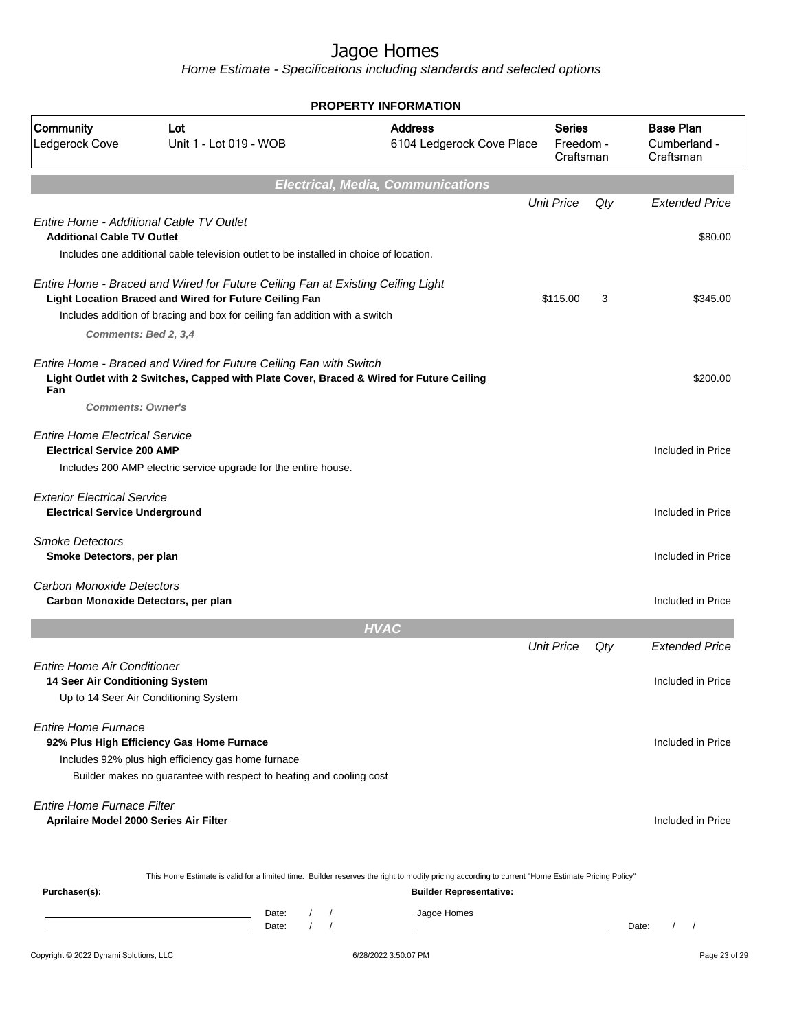|                                                                             |                                                                                                                                                                                                                          | <b>PROPERTY INFORMATION</b>                 |                                         |       |                                               |
|-----------------------------------------------------------------------------|--------------------------------------------------------------------------------------------------------------------------------------------------------------------------------------------------------------------------|---------------------------------------------|-----------------------------------------|-------|-----------------------------------------------|
| Community<br>Ledgerock Cove                                                 | Lot<br>Unit 1 - Lot 019 - WOB                                                                                                                                                                                            | <b>Address</b><br>6104 Ledgerock Cove Place | <b>Series</b><br>Freedom -<br>Craftsman |       | <b>Base Plan</b><br>Cumberland -<br>Craftsman |
|                                                                             |                                                                                                                                                                                                                          | <b>Electrical, Media, Communications</b>    |                                         |       |                                               |
| Entire Home - Additional Cable TV Outlet                                    |                                                                                                                                                                                                                          |                                             | <b>Unit Price</b>                       | Qty   | <b>Extended Price</b>                         |
| <b>Additional Cable TV Outlet</b>                                           | Includes one additional cable television outlet to be installed in choice of location.                                                                                                                                   |                                             |                                         |       | \$80.00                                       |
| Comments: Bed 2, 3,4                                                        | Entire Home - Braced and Wired for Future Ceiling Fan at Existing Ceiling Light<br>Light Location Braced and Wired for Future Ceiling Fan<br>Includes addition of bracing and box for ceiling fan addition with a switch |                                             | \$115.00                                | 3     | \$345.00                                      |
| Fan<br><b>Comments: Owner's</b>                                             | Entire Home - Braced and Wired for Future Ceiling Fan with Switch<br>Light Outlet with 2 Switches, Capped with Plate Cover, Braced & Wired for Future Ceiling                                                            |                                             |                                         |       | \$200.00                                      |
| <b>Entire Home Electrical Service</b><br><b>Electrical Service 200 AMP</b>  | Includes 200 AMP electric service upgrade for the entire house.                                                                                                                                                          |                                             |                                         |       | Included in Price                             |
| <b>Exterior Electrical Service</b><br><b>Electrical Service Underground</b> |                                                                                                                                                                                                                          |                                             |                                         |       | Included in Price                             |
| <b>Smoke Detectors</b><br>Smoke Detectors, per plan                         |                                                                                                                                                                                                                          |                                             |                                         |       | Included in Price                             |
| <b>Carbon Monoxide Detectors</b><br>Carbon Monoxide Detectors, per plan     |                                                                                                                                                                                                                          |                                             |                                         |       | Included in Price                             |
|                                                                             |                                                                                                                                                                                                                          | <b>HVAC</b>                                 |                                         |       |                                               |
| <b>Entire Home Air Conditioner</b><br>14 Seer Air Conditioning System       | Up to 14 Seer Air Conditioning System                                                                                                                                                                                    |                                             | <b>Unit Price</b>                       | Qty   | <b>Extended Price</b><br>Included in Price    |
| <b>Entire Home Furnace</b>                                                  | 92% Plus High Efficiency Gas Home Furnace<br>Includes 92% plus high efficiency gas home furnace<br>Builder makes no guarantee with respect to heating and cooling cost                                                   |                                             |                                         |       | Included in Price                             |
| <b>Entire Home Furnace Filter</b><br>Aprilaire Model 2000 Series Air Filter |                                                                                                                                                                                                                          |                                             |                                         |       | Included in Price                             |
| Purchaser(s):                                                               | This Home Estimate is valid for a limited time. Builder reserves the right to modify pricing according to current "Home Estimate Pricing Policy"                                                                         | <b>Builder Representative:</b>              |                                         |       |                                               |
|                                                                             | Date:<br>$\sqrt{2}$<br>$\sqrt{2}$<br><u> 1989 - Johann Barn, amerikansk politiker (</u><br>$\sqrt{ }$<br>$\sqrt{ }$<br>Date:                                                                                             | Jagoe Homes                                 |                                         | Date: | $\prime$<br>$\prime$                          |
| Copyright © 2022 Dynami Solutions, LLC                                      |                                                                                                                                                                                                                          | 6/28/2022 3:50:07 PM                        |                                         |       | Page 23 of 29                                 |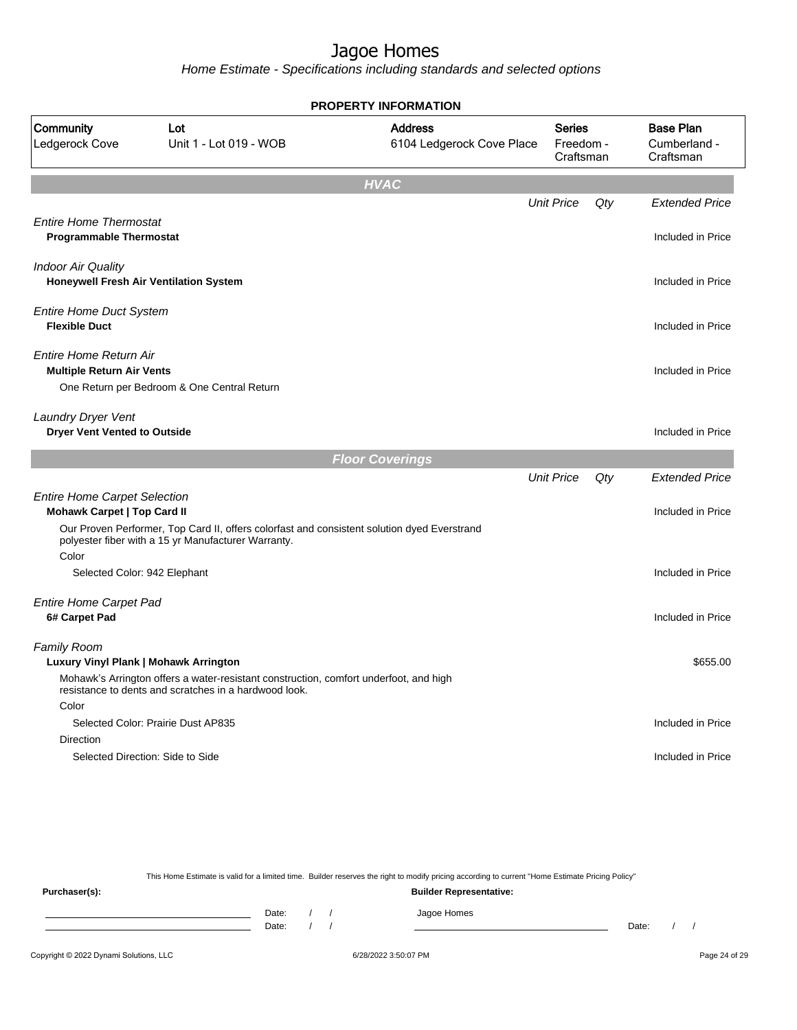Home Estimate - Specifications including standards and selected options

|                                                                    |                                                                                                                                                    | <b>PROPERTY INFORMATION</b>                 |                                         |     |                                               |
|--------------------------------------------------------------------|----------------------------------------------------------------------------------------------------------------------------------------------------|---------------------------------------------|-----------------------------------------|-----|-----------------------------------------------|
| Community<br>Ledgerock Cove                                        | Lot<br>Unit 1 - Lot 019 - WOB                                                                                                                      | <b>Address</b><br>6104 Ledgerock Cove Place | <b>Series</b><br>Freedom -<br>Craftsman |     | <b>Base Plan</b><br>Cumberland -<br>Craftsman |
|                                                                    |                                                                                                                                                    | <b>HVAC</b>                                 |                                         |     |                                               |
|                                                                    |                                                                                                                                                    |                                             | <b>Unit Price</b>                       | Qty | <b>Extended Price</b>                         |
| <b>Entire Home Thermostat</b><br><b>Programmable Thermostat</b>    |                                                                                                                                                    |                                             |                                         |     | Included in Price                             |
| <b>Indoor Air Quality</b>                                          | Honeywell Fresh Air Ventilation System                                                                                                             |                                             |                                         |     | Included in Price                             |
| <b>Entire Home Duct System</b><br><b>Flexible Duct</b>             |                                                                                                                                                    |                                             |                                         |     | Included in Price                             |
| <b>Entire Home Return Air</b><br><b>Multiple Return Air Vents</b>  | One Return per Bedroom & One Central Return                                                                                                        |                                             |                                         |     | Included in Price                             |
| <b>Laundry Dryer Vent</b><br><b>Dryer Vent Vented to Outside</b>   |                                                                                                                                                    |                                             |                                         |     | Included in Price                             |
|                                                                    |                                                                                                                                                    | <b>Floor Coverings</b>                      |                                         |     |                                               |
|                                                                    |                                                                                                                                                    |                                             | <b>Unit Price</b>                       | Qty | <b>Extended Price</b>                         |
| <b>Entire Home Carpet Selection</b><br>Mohawk Carpet   Top Card II |                                                                                                                                                    |                                             |                                         |     | Included in Price                             |
| Color                                                              | Our Proven Performer, Top Card II, offers colorfast and consistent solution dyed Everstrand<br>polyester fiber with a 15 yr Manufacturer Warranty. |                                             |                                         |     |                                               |
| Selected Color: 942 Elephant                                       |                                                                                                                                                    |                                             |                                         |     | Included in Price                             |
| <b>Entire Home Carpet Pad</b><br>6# Carpet Pad                     |                                                                                                                                                    |                                             |                                         |     | Included in Price                             |
| Family Room<br>Luxury Vinyl Plank   Mohawk Arrington               |                                                                                                                                                    |                                             |                                         |     | \$655.00                                      |
|                                                                    | Mohawk's Arrington offers a water-resistant construction, comfort underfoot, and high<br>resistance to dents and scratches in a hardwood look.     |                                             |                                         |     |                                               |
| Color                                                              |                                                                                                                                                    |                                             |                                         |     |                                               |
| Direction                                                          | Selected Color: Prairie Dust AP835                                                                                                                 |                                             |                                         |     | Included in Price                             |
|                                                                    | Selected Direction: Side to Side                                                                                                                   |                                             |                                         |     | Included in Price                             |
|                                                                    |                                                                                                                                                    |                                             |                                         |     |                                               |
|                                                                    |                                                                                                                                                    |                                             |                                         |     |                                               |

This Home Estimate is valid for a limited time. Builder reserves the right to modify pricing according to current "Home Estimate Pricing Policy" **Purchaser(s): Builder Representative:** Date: / / Jagoe Homes<br>Date: / / Jagoe Homes Date: / / Date: / /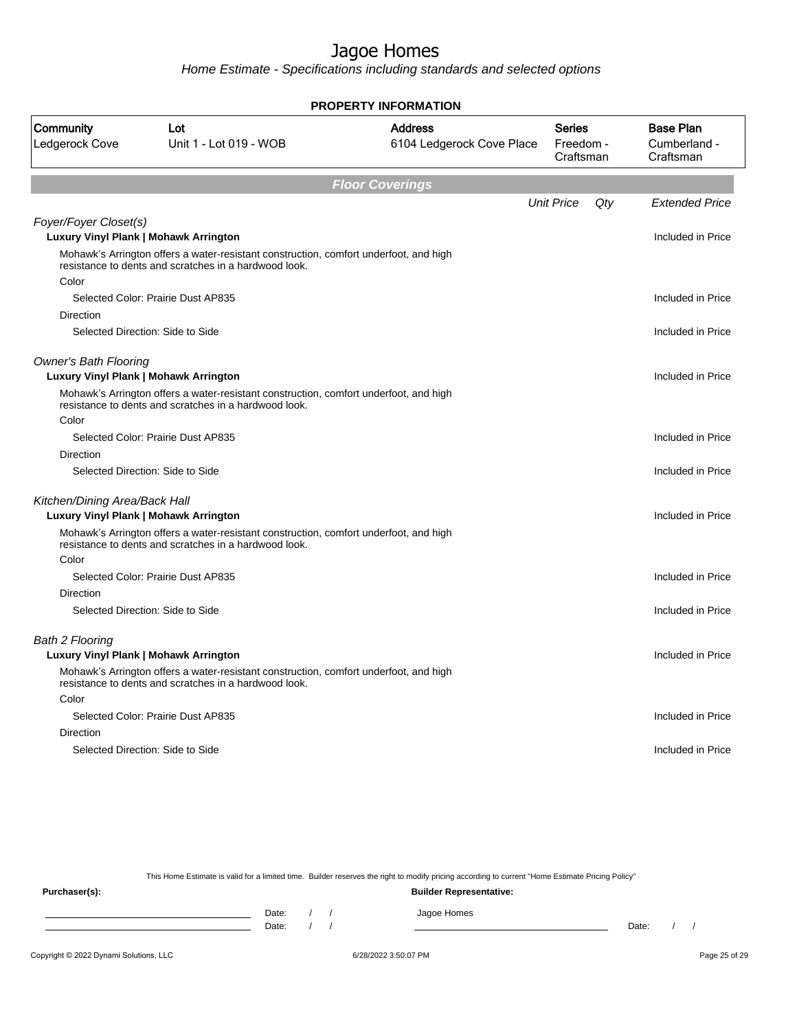Home Estimate - Specifications including standards and selected options

|                               |                                                                                                                                                | <b>PROPERTY INFORMATION</b>                 |                                         |                                               |
|-------------------------------|------------------------------------------------------------------------------------------------------------------------------------------------|---------------------------------------------|-----------------------------------------|-----------------------------------------------|
| Community<br>Ledgerock Cove   | Lot<br>Unit 1 - Lot 019 - WOB                                                                                                                  | <b>Address</b><br>6104 Ledgerock Cove Place | <b>Series</b><br>Freedom -<br>Craftsman | <b>Base Plan</b><br>Cumberland -<br>Craftsman |
|                               |                                                                                                                                                | <b>Floor Coverings</b>                      |                                         |                                               |
|                               |                                                                                                                                                |                                             | <b>Unit Price</b><br>Qty                | <b>Extended Price</b>                         |
| Foyer/Foyer Closet(s)         | Luxury Vinyl Plank   Mohawk Arrington                                                                                                          |                                             |                                         | Included in Price                             |
|                               | Mohawk's Arrington offers a water-resistant construction, comfort underfoot, and high<br>resistance to dents and scratches in a hardwood look. |                                             |                                         |                                               |
| Color                         |                                                                                                                                                |                                             |                                         |                                               |
|                               | Selected Color: Prairie Dust AP835                                                                                                             |                                             |                                         | Included in Price                             |
| Direction                     |                                                                                                                                                |                                             |                                         |                                               |
|                               | Selected Direction: Side to Side                                                                                                               |                                             |                                         | Included in Price                             |
| <b>Owner's Bath Flooring</b>  | Luxury Vinyl Plank   Mohawk Arrington                                                                                                          |                                             |                                         | Included in Price                             |
|                               | Mohawk's Arrington offers a water-resistant construction, comfort underfoot, and high<br>resistance to dents and scratches in a hardwood look. |                                             |                                         |                                               |
| Color                         |                                                                                                                                                |                                             |                                         |                                               |
|                               | Selected Color: Prairie Dust AP835                                                                                                             |                                             |                                         | Included in Price                             |
| Direction                     |                                                                                                                                                |                                             |                                         |                                               |
|                               | Selected Direction: Side to Side                                                                                                               |                                             |                                         | Included in Price                             |
| Kitchen/Dining Area/Back Hall |                                                                                                                                                |                                             |                                         |                                               |
|                               | Luxury Vinyl Plank   Mohawk Arrington                                                                                                          |                                             |                                         | Included in Price                             |
|                               | Mohawk's Arrington offers a water-resistant construction, comfort underfoot, and high<br>resistance to dents and scratches in a hardwood look. |                                             |                                         |                                               |
| Color                         |                                                                                                                                                |                                             |                                         |                                               |
|                               | Selected Color: Prairie Dust AP835                                                                                                             |                                             |                                         | Included in Price                             |
| <b>Direction</b>              |                                                                                                                                                |                                             |                                         |                                               |
|                               | Selected Direction: Side to Side                                                                                                               |                                             |                                         | Included in Price                             |
| <b>Bath 2 Flooring</b>        |                                                                                                                                                |                                             |                                         |                                               |
|                               | Luxury Vinyl Plank   Mohawk Arrington                                                                                                          |                                             |                                         | Included in Price                             |
|                               | Mohawk's Arrington offers a water-resistant construction, comfort underfoot, and high<br>resistance to dents and scratches in a hardwood look. |                                             |                                         |                                               |
| Color                         |                                                                                                                                                |                                             |                                         |                                               |
|                               | Selected Color: Prairie Dust AP835                                                                                                             |                                             |                                         | Included in Price                             |
| Direction                     |                                                                                                                                                |                                             |                                         |                                               |
|                               | Selected Direction: Side to Side                                                                                                               |                                             |                                         | Included in Price                             |
|                               |                                                                                                                                                |                                             |                                         |                                               |

This Home Estimate is valid for a limited time. Builder reserves the right to modify pricing according to current "Home Estimate Pricing Policy"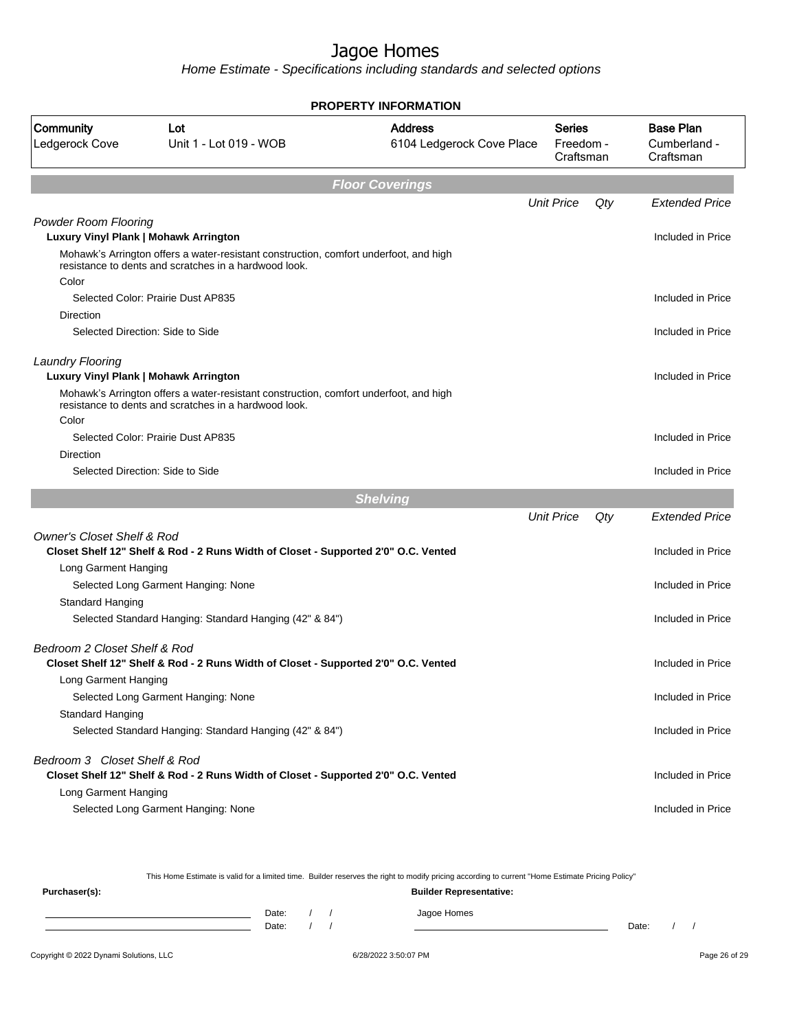Home Estimate - Specifications including standards and selected options

| PROPERTY INFORMATION                                                 |                                                                                                                                                |                                             |                                  |     |                                               |  |  |
|----------------------------------------------------------------------|------------------------------------------------------------------------------------------------------------------------------------------------|---------------------------------------------|----------------------------------|-----|-----------------------------------------------|--|--|
| Community<br>Ledgerock Cove                                          | Lot<br>Unit 1 - Lot 019 - WOB                                                                                                                  | <b>Address</b><br>6104 Ledgerock Cove Place | Series<br>Freedom -<br>Craftsman |     | <b>Base Plan</b><br>Cumberland -<br>Craftsman |  |  |
|                                                                      |                                                                                                                                                | <b>Floor Coverings</b>                      |                                  |     |                                               |  |  |
|                                                                      |                                                                                                                                                |                                             | <b>Unit Price</b>                | Qty | <b>Extended Price</b>                         |  |  |
| <b>Powder Room Flooring</b><br>Luxury Vinyl Plank   Mohawk Arrington | Mohawk's Arrington offers a water-resistant construction, comfort underfoot, and high                                                          |                                             |                                  |     | Included in Price                             |  |  |
| Color                                                                | resistance to dents and scratches in a hardwood look.                                                                                          |                                             |                                  |     |                                               |  |  |
| Direction                                                            | Selected Color: Prairie Dust AP835                                                                                                             |                                             |                                  |     | Included in Price                             |  |  |
|                                                                      | Selected Direction: Side to Side                                                                                                               |                                             |                                  |     | Included in Price                             |  |  |
| <b>Laundry Flooring</b><br>Luxury Vinyl Plank   Mohawk Arrington     |                                                                                                                                                |                                             |                                  |     | Included in Price                             |  |  |
| Color                                                                | Mohawk's Arrington offers a water-resistant construction, comfort underfoot, and high<br>resistance to dents and scratches in a hardwood look. |                                             |                                  |     |                                               |  |  |
|                                                                      | Selected Color: Prairie Dust AP835                                                                                                             |                                             |                                  |     | Included in Price                             |  |  |
| Direction                                                            | Selected Direction: Side to Side                                                                                                               |                                             |                                  |     | Included in Price                             |  |  |
|                                                                      |                                                                                                                                                | <b>Shelving</b>                             |                                  |     |                                               |  |  |
|                                                                      |                                                                                                                                                |                                             | <b>Unit Price</b>                | Qty | <b>Extended Price</b>                         |  |  |
| <b>Owner's Closet Shelf &amp; Rod</b>                                | Closet Shelf 12" Shelf & Rod - 2 Runs Width of Closet - Supported 2'0" O.C. Vented                                                             |                                             |                                  |     | Included in Price                             |  |  |
| Long Garment Hanging                                                 |                                                                                                                                                |                                             |                                  |     |                                               |  |  |
| Standard Hanging                                                     | Selected Long Garment Hanging: None                                                                                                            |                                             |                                  |     | Included in Price                             |  |  |
|                                                                      | Selected Standard Hanging: Standard Hanging (42" & 84")                                                                                        |                                             |                                  |     | Included in Price                             |  |  |
| Bedroom 2 Closet Shelf & Rod<br>Long Garment Hanging                 | Closet Shelf 12" Shelf & Rod - 2 Runs Width of Closet - Supported 2'0" O.C. Vented                                                             |                                             |                                  |     | Included in Price                             |  |  |
|                                                                      | Selected Long Garment Hanging: None                                                                                                            |                                             |                                  |     | Included in Price                             |  |  |
| Standard Hanging                                                     | Selected Standard Hanging: Standard Hanging (42" & 84")                                                                                        |                                             |                                  |     | Included in Price                             |  |  |
| Bedroom 3 Closet Shelf & Rod                                         | Closet Shelf 12" Shelf & Rod - 2 Runs Width of Closet - Supported 2'0" O.C. Vented                                                             |                                             |                                  |     | Included in Price                             |  |  |
| Long Garment Hanging                                                 | Selected Long Garment Hanging: None                                                                                                            |                                             |                                  |     | Included in Price                             |  |  |

This Home Estimate is valid for a limited time. Builder reserves the right to modify pricing according to current "Home Estimate Pricing Policy"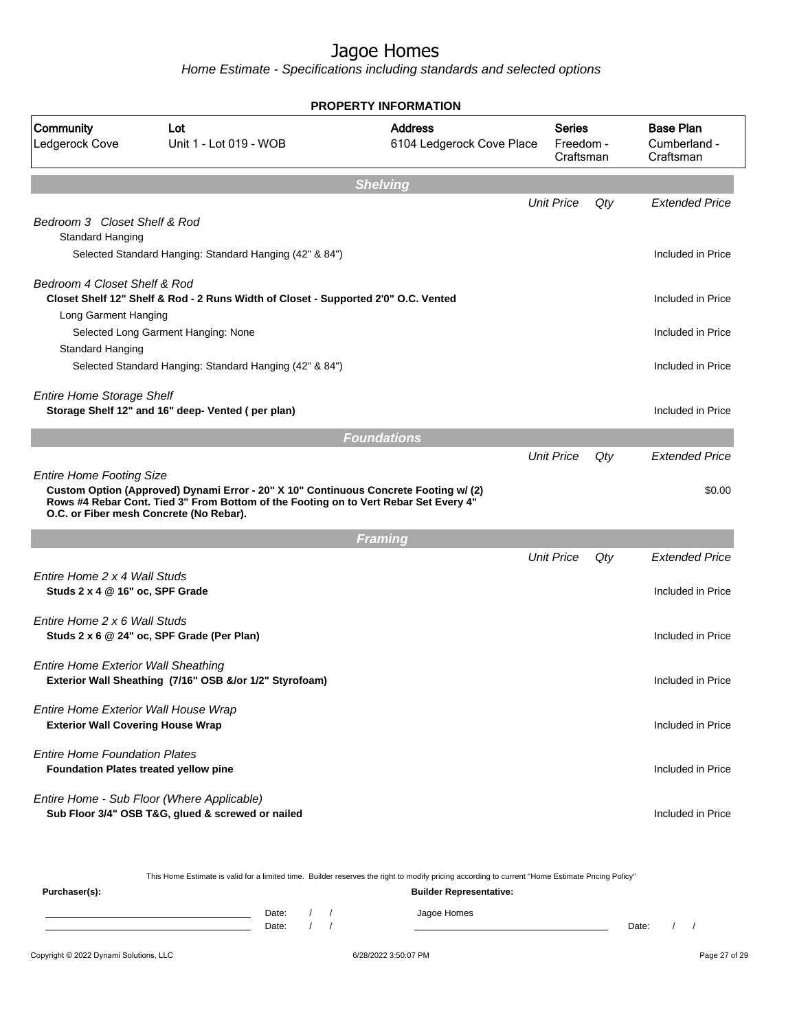Home Estimate - Specifications including standards and selected options

| <b>PROPERTY INFORMATION</b>                                                          |                                                                                                                                                                                                                         |                                             |                                         |     |                                               |  |  |  |
|--------------------------------------------------------------------------------------|-------------------------------------------------------------------------------------------------------------------------------------------------------------------------------------------------------------------------|---------------------------------------------|-----------------------------------------|-----|-----------------------------------------------|--|--|--|
| Community<br>Ledgerock Cove                                                          | Lot<br>Unit 1 - Lot 019 - WOB                                                                                                                                                                                           | <b>Address</b><br>6104 Ledgerock Cove Place | <b>Series</b><br>Freedom -<br>Craftsman |     | <b>Base Plan</b><br>Cumberland -<br>Craftsman |  |  |  |
|                                                                                      |                                                                                                                                                                                                                         | <b>Shelving</b>                             |                                         |     |                                               |  |  |  |
|                                                                                      |                                                                                                                                                                                                                         |                                             | <b>Unit Price</b>                       | Qty | <b>Extended Price</b>                         |  |  |  |
| Bedroom 3 Closet Shelf & Rod<br>Standard Hanging                                     |                                                                                                                                                                                                                         |                                             |                                         |     |                                               |  |  |  |
|                                                                                      | Selected Standard Hanging: Standard Hanging (42" & 84")                                                                                                                                                                 |                                             |                                         |     | Included in Price                             |  |  |  |
| Bedroom 4 Closet Shelf & Rod                                                         | Closet Shelf 12" Shelf & Rod - 2 Runs Width of Closet - Supported 2'0" O.C. Vented                                                                                                                                      |                                             |                                         |     | Included in Price                             |  |  |  |
| Long Garment Hanging                                                                 |                                                                                                                                                                                                                         |                                             |                                         |     |                                               |  |  |  |
|                                                                                      | Selected Long Garment Hanging: None                                                                                                                                                                                     |                                             |                                         |     | Included in Price                             |  |  |  |
| Standard Hanging                                                                     | Selected Standard Hanging: Standard Hanging (42" & 84")                                                                                                                                                                 |                                             |                                         |     | Included in Price                             |  |  |  |
|                                                                                      |                                                                                                                                                                                                                         |                                             |                                         |     |                                               |  |  |  |
| <b>Entire Home Storage Shelf</b>                                                     | Storage Shelf 12" and 16" deep- Vented (per plan)                                                                                                                                                                       |                                             |                                         |     | Included in Price                             |  |  |  |
|                                                                                      |                                                                                                                                                                                                                         | <b>Foundations</b>                          |                                         |     |                                               |  |  |  |
|                                                                                      |                                                                                                                                                                                                                         |                                             | <b>Unit Price</b>                       | Qty | <b>Extended Price</b>                         |  |  |  |
| <b>Entire Home Footing Size</b>                                                      | Custom Option (Approved) Dynami Error - 20" X 10" Continuous Concrete Footing w/ (2)<br>Rows #4 Rebar Cont. Tied 3" From Bottom of the Footing on to Vert Rebar Set Every 4"<br>O.C. or Fiber mesh Concrete (No Rebar). |                                             |                                         |     | \$0.00                                        |  |  |  |
|                                                                                      |                                                                                                                                                                                                                         | <b>Framing</b>                              |                                         |     |                                               |  |  |  |
|                                                                                      |                                                                                                                                                                                                                         |                                             | <b>Unit Price</b>                       | Qty | <b>Extended Price</b>                         |  |  |  |
| Entire Home 2 x 4 Wall Studs<br>Studs 2 x 4 @ 16" oc, SPF Grade                      |                                                                                                                                                                                                                         |                                             |                                         |     | Included in Price                             |  |  |  |
| Entire Home 2 x 6 Wall Studs                                                         | Studs 2 x 6 @ 24" oc, SPF Grade (Per Plan)                                                                                                                                                                              |                                             |                                         |     | Included in Price                             |  |  |  |
| <b>Entire Home Exterior Wall Sheathing</b>                                           | Exterior Wall Sheathing (7/16" OSB &/or 1/2" Styrofoam)                                                                                                                                                                 |                                             |                                         |     | Included in Price                             |  |  |  |
| Entire Home Exterior Wall House Wrap<br><b>Exterior Wall Covering House Wrap</b>     |                                                                                                                                                                                                                         |                                             |                                         |     | Included in Price                             |  |  |  |
| <b>Entire Home Foundation Plates</b><br><b>Foundation Plates treated yellow pine</b> |                                                                                                                                                                                                                         |                                             |                                         |     | Included in Price                             |  |  |  |
|                                                                                      | Entire Home - Sub Floor (Where Applicable)<br>Sub Floor 3/4" OSB T&G, glued & screwed or nailed                                                                                                                         |                                             |                                         |     | Included in Price                             |  |  |  |
|                                                                                      |                                                                                                                                                                                                                         |                                             |                                         |     |                                               |  |  |  |

This Home Estimate is valid for a limited time. Builder reserves the right to modify pricing according to current "Home Estimate Pricing Policy"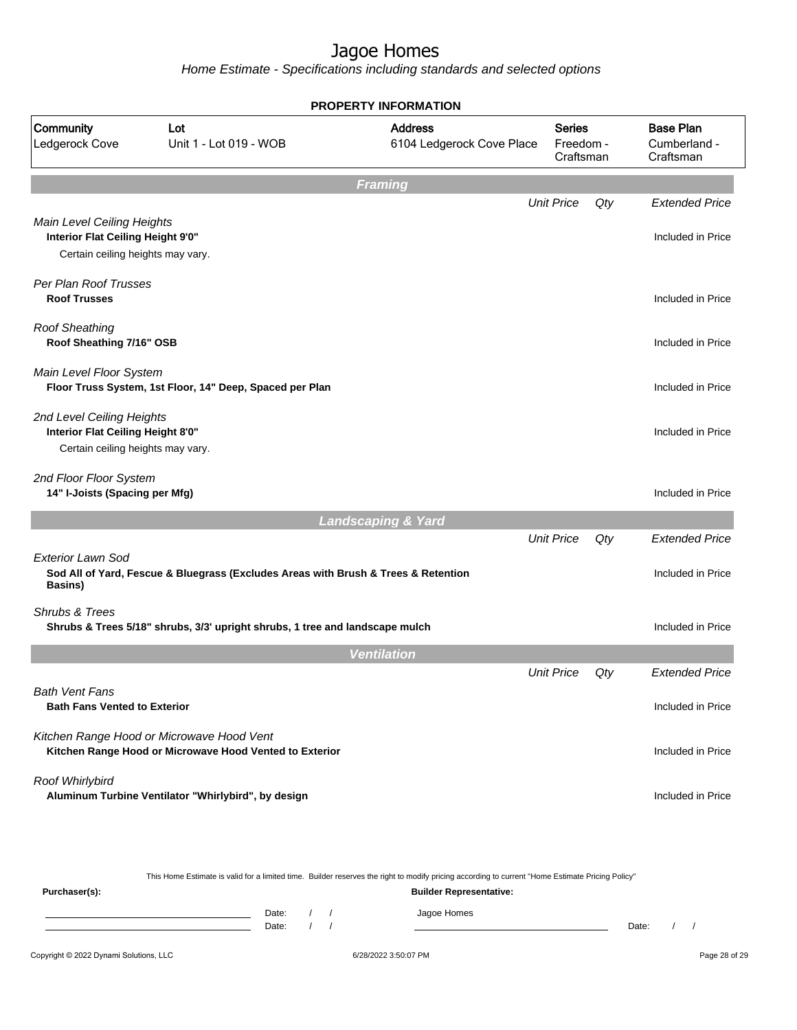Home Estimate - Specifications including standards and selected options

|                                                                                                      |                                                                                                      | <b>PROPERTY INFORMATION</b>                 |                                         |     |                                               |
|------------------------------------------------------------------------------------------------------|------------------------------------------------------------------------------------------------------|---------------------------------------------|-----------------------------------------|-----|-----------------------------------------------|
| Community<br>Ledgerock Cove                                                                          | Lot<br>Unit 1 - Lot 019 - WOB                                                                        | <b>Address</b><br>6104 Ledgerock Cove Place | <b>Series</b><br>Freedom -<br>Craftsman |     | <b>Base Plan</b><br>Cumberland -<br>Craftsman |
|                                                                                                      |                                                                                                      | <b>Framing</b>                              |                                         |     |                                               |
|                                                                                                      |                                                                                                      |                                             | <b>Unit Price</b>                       | Qty | <b>Extended Price</b>                         |
| Main Level Ceiling Heights<br>Interior Flat Ceiling Height 9'0"<br>Certain ceiling heights may vary. |                                                                                                      |                                             |                                         |     | Included in Price                             |
| Per Plan Roof Trusses<br><b>Roof Trusses</b>                                                         |                                                                                                      |                                             |                                         |     | Included in Price                             |
| <b>Roof Sheathing</b><br>Roof Sheathing 7/16" OSB                                                    |                                                                                                      |                                             |                                         |     | Included in Price                             |
| Main Level Floor System                                                                              | Floor Truss System, 1st Floor, 14" Deep, Spaced per Plan                                             |                                             |                                         |     | Included in Price                             |
| 2nd Level Ceiling Heights<br>Interior Flat Ceiling Height 8'0"<br>Certain ceiling heights may vary.  |                                                                                                      |                                             |                                         |     | Included in Price                             |
| 2nd Floor Floor System<br>14" I-Joists (Spacing per Mfg)                                             |                                                                                                      |                                             |                                         |     | Included in Price                             |
|                                                                                                      |                                                                                                      | <b>Landscaping &amp; Yard</b>               |                                         |     |                                               |
| Exterior Lawn Sod<br>Basins)                                                                         | Sod All of Yard, Fescue & Bluegrass (Excludes Areas with Brush & Trees & Retention                   |                                             | <b>Unit Price</b>                       | Qty | <b>Extended Price</b><br>Included in Price    |
| Shrubs & Trees                                                                                       | Shrubs & Trees 5/18" shrubs, 3/3' upright shrubs, 1 tree and landscape mulch                         |                                             |                                         |     | Included in Price                             |
|                                                                                                      |                                                                                                      | <b>Ventilation</b>                          |                                         |     |                                               |
|                                                                                                      |                                                                                                      |                                             | <b>Unit Price</b>                       | Qty | <b>Extended Price</b>                         |
| <b>Bath Vent Fans</b><br><b>Bath Fans Vented to Exterior</b>                                         |                                                                                                      |                                             |                                         |     | Included in Price                             |
|                                                                                                      | Kitchen Range Hood or Microwave Hood Vent<br>Kitchen Range Hood or Microwave Hood Vented to Exterior |                                             |                                         |     | Included in Price                             |
| Roof Whirlybird                                                                                      | Aluminum Turbine Ventilator "Whirlybird", by design                                                  |                                             |                                         |     | Included in Price                             |

This Home Estimate is valid for a limited time. Builder reserves the right to modify pricing according to current "Home Estimate Pricing Policy"